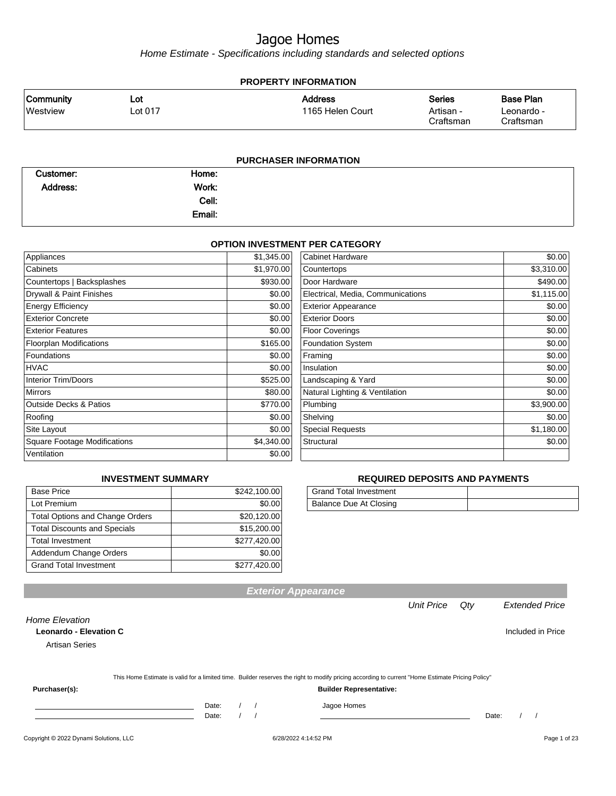Home Estimate - Specifications including standards and selected options

| <b>PROPERTY INFORMATION</b>                                                         |                |                |                                    |                                         |                                             |  |
|-------------------------------------------------------------------------------------|----------------|----------------|------------------------------------|-----------------------------------------|---------------------------------------------|--|
| <b>Community</b><br>Westview                                                        | Lot<br>Lot 017 |                | <b>Address</b><br>1165 Helen Court | <b>Series</b><br>Artisan -<br>Craftsman | <b>Base Plan</b><br>Leonardo -<br>Craftsman |  |
|                                                                                     |                |                | <b>PURCHASER INFORMATION</b>       |                                         |                                             |  |
| $\bigcap_{x \in \mathbb{R}} \mathbb{R}$ and $\bigcap_{x \in \mathbb{R}} \mathbb{R}$ |                | $11 - 22 - 22$ |                                    |                                         |                                             |  |

| Home:  |  |
|--------|--|
| Work:  |  |
| Cell:  |  |
| Email: |  |
|        |  |

#### **OPTION INVESTMENT PER CATEGORY**

| Appliances                          | \$1,345.00 | <b>Cabinet Hardware</b>           | \$0.00     |
|-------------------------------------|------------|-----------------------------------|------------|
| Cabinets                            | \$1,970.00 | Countertops                       | \$3,310.00 |
| Countertops   Backsplashes          | \$930.00   | Door Hardware                     | \$490.00   |
| Drywall & Paint Finishes            | \$0.00     | Electrical, Media, Communications | \$1,115.00 |
| <b>Energy Efficiency</b>            | \$0.00     | <b>Exterior Appearance</b>        | \$0.00     |
| <b>Exterior Concrete</b>            | \$0.00     | <b>Exterior Doors</b>             | \$0.00     |
| <b>Exterior Features</b>            | \$0.00     | <b>Floor Coverings</b>            | \$0.00     |
| <b>Floorplan Modifications</b>      | \$165.00   | <b>Foundation System</b>          | \$0.00     |
| Foundations                         | \$0.00     | Framing                           | \$0.00     |
| HVAC                                | \$0.00     | Insulation                        | \$0.00     |
| <b>Interior Trim/Doors</b>          | \$525.00   | Landscaping & Yard                | \$0.00     |
| <b>Mirrors</b>                      | \$80.00    | Natural Lighting & Ventilation    | \$0.00     |
| <b>Outside Decks &amp; Patios</b>   | \$770.00   | Plumbing                          | \$3,900.00 |
| Roofing                             | \$0.00     | Shelving                          | \$0.00     |
| Site Layout                         | \$0.00     | <b>Special Requests</b>           | \$1,180.00 |
| <b>Square Footage Modifications</b> | \$4,340.00 | Structural                        | \$0.00     |
| Ventilation                         | \$0.00     |                                   |            |

#### **INVESTMENT SUMMARY**

| <b>Base Price</b>                      | \$242,100.00 |
|----------------------------------------|--------------|
| Lot Premium                            | \$0.00       |
| <b>Total Options and Change Orders</b> | \$20,120.00  |
| <b>Total Discounts and Specials</b>    | \$15,200.00  |
| <b>Total Investment</b>                | \$277,420.00 |
| Addendum Change Orders                 | \$0.00       |
| <b>Grand Total Investment</b>          | \$277,420.00 |

#### **REQUIRED DEPOSITS AND PAYMENTS**

| <b>Grand Total Investment</b> |  |
|-------------------------------|--|
| Balance Due At Closing        |  |

|                                                                          |                |  | <b>Exterior Appearance</b>                                                                                                                       |                   |       |                       |
|--------------------------------------------------------------------------|----------------|--|--------------------------------------------------------------------------------------------------------------------------------------------------|-------------------|-------|-----------------------|
|                                                                          |                |  |                                                                                                                                                  | <b>Unit Price</b> | Qty   | <b>Extended Price</b> |
| <b>Home Elevation</b><br>Leonardo - Elevation C<br><b>Artisan Series</b> |                |  |                                                                                                                                                  |                   |       | Included in Price     |
|                                                                          |                |  | This Home Estimate is valid for a limited time. Builder reserves the right to modify pricing according to current "Home Estimate Pricing Policy" |                   |       |                       |
| Purchaser(s):                                                            |                |  | <b>Builder Representative:</b>                                                                                                                   |                   |       |                       |
|                                                                          | Date:<br>Date: |  | Jagoe Homes                                                                                                                                      |                   | Date: |                       |

#### Copyright © 2022 Dynami Solutions, LLC <br>
6/28/2022 4:14:52 PM Page 1 of 23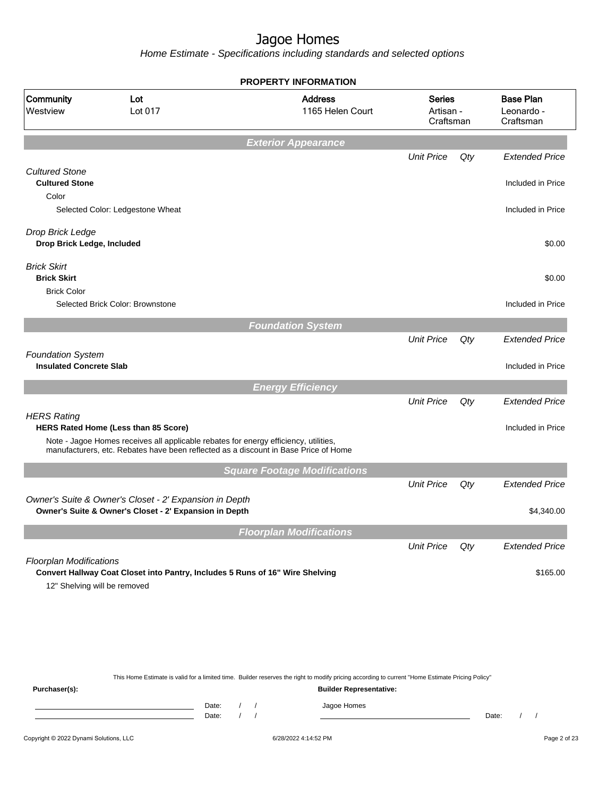Home Estimate - Specifications including standards and selected options

|                                                            |                                                                                                                              | <b>PROPERTY INFORMATION</b>         |                                         |     |                                             |
|------------------------------------------------------------|------------------------------------------------------------------------------------------------------------------------------|-------------------------------------|-----------------------------------------|-----|---------------------------------------------|
| Community<br>Westview                                      | Lot<br>Lot 017                                                                                                               | <b>Address</b><br>1165 Helen Court  | <b>Series</b><br>Artisan -<br>Craftsman |     | <b>Base Plan</b><br>Leonardo -<br>Craftsman |
|                                                            |                                                                                                                              | <b>Exterior Appearance</b>          |                                         |     |                                             |
|                                                            |                                                                                                                              |                                     | <b>Unit Price</b>                       | Qty | <b>Extended Price</b>                       |
| <b>Cultured Stone</b><br><b>Cultured Stone</b><br>Color    |                                                                                                                              |                                     |                                         |     | Included in Price                           |
|                                                            | Selected Color: Ledgestone Wheat                                                                                             |                                     |                                         |     | Included in Price                           |
| Drop Brick Ledge<br>Drop Brick Ledge, Included             |                                                                                                                              |                                     |                                         |     | \$0.00                                      |
| <b>Brick Skirt</b><br><b>Brick Skirt</b>                   |                                                                                                                              |                                     |                                         |     | \$0.00                                      |
| <b>Brick Color</b>                                         | Selected Brick Color: Brownstone                                                                                             |                                     |                                         |     | Included in Price                           |
|                                                            |                                                                                                                              | <b>Foundation System</b>            |                                         |     |                                             |
|                                                            |                                                                                                                              |                                     | <b>Unit Price</b>                       | Qty | <b>Extended Price</b>                       |
| <b>Foundation System</b><br><b>Insulated Concrete Slab</b> |                                                                                                                              |                                     |                                         |     | Included in Price                           |
|                                                            |                                                                                                                              | <b>Energy Efficiency</b>            |                                         |     |                                             |
|                                                            |                                                                                                                              |                                     | <b>Unit Price</b>                       | Qty | <b>Extended Price</b>                       |
| <b>HERS Rating</b>                                         | HERS Rated Home (Less than 85 Score)<br>Note - Jagoe Homes receives all applicable rebates for energy efficiency, utilities, |                                     |                                         |     | Included in Price                           |
|                                                            | manufacturers, etc. Rebates have been reflected as a discount in Base Price of Home                                          |                                     |                                         |     |                                             |
|                                                            |                                                                                                                              | <b>Square Footage Modifications</b> |                                         |     |                                             |
|                                                            |                                                                                                                              |                                     | <b>Unit Price</b>                       | Qty | <b>Extended Price</b>                       |
|                                                            | Owner's Suite & Owner's Closet - 2' Expansion in Depth<br>Owner's Suite & Owner's Closet - 2' Expansion in Depth             |                                     |                                         |     | \$4,340.00                                  |
|                                                            |                                                                                                                              | <b>Floorplan Modifications</b>      |                                         |     |                                             |
|                                                            |                                                                                                                              |                                     | <b>Unit Price</b>                       | Qty | <b>Extended Price</b>                       |
| <b>Floorplan Modifications</b>                             | Convert Hallway Coat Closet into Pantry, Includes 5 Runs of 16" Wire Shelving<br>12" Shelving will be removed                |                                     |                                         |     | \$165.00                                    |
|                                                            |                                                                                                                              |                                     |                                         |     |                                             |

This Home Estimate is valid for a limited time. Builder reserves the right to modify pricing according to current "Home Estimate Pricing Policy"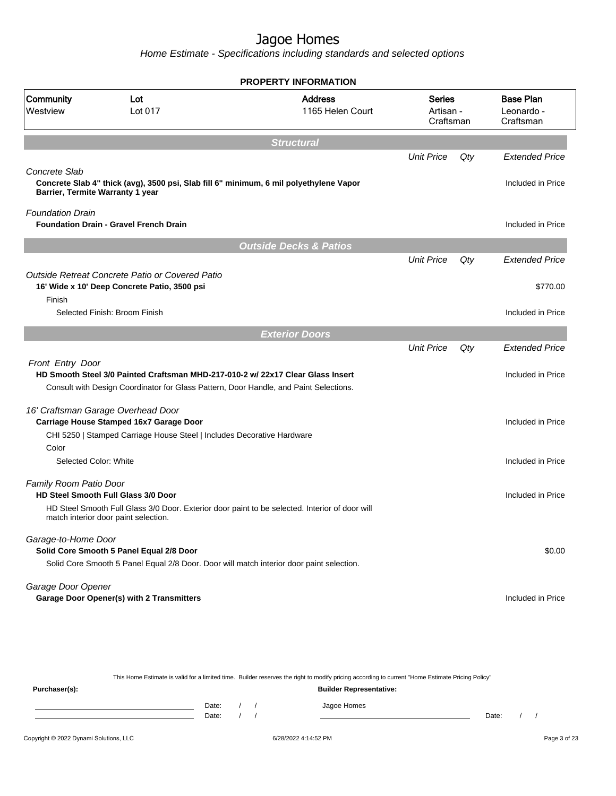Home Estimate - Specifications including standards and selected options

|                         |                                                                                                                                        | <b>PROPERTY INFORMATION</b>        |                                         |     |                                             |
|-------------------------|----------------------------------------------------------------------------------------------------------------------------------------|------------------------------------|-----------------------------------------|-----|---------------------------------------------|
| Community<br>Westview   | Lot<br>Lot 017                                                                                                                         | <b>Address</b><br>1165 Helen Court | <b>Series</b><br>Artisan -<br>Craftsman |     | <b>Base Plan</b><br>Leonardo -<br>Craftsman |
|                         |                                                                                                                                        | <b>Structural</b>                  |                                         |     |                                             |
| Concrete Slab           |                                                                                                                                        |                                    | <b>Unit Price</b>                       | Qty | <b>Extended Price</b>                       |
|                         | Concrete Slab 4" thick (avg), 3500 psi, Slab fill 6" minimum, 6 mil polyethylene Vapor<br>Barrier, Termite Warranty 1 year             |                                    |                                         |     | Included in Price                           |
| <b>Foundation Drain</b> | <b>Foundation Drain - Gravel French Drain</b>                                                                                          |                                    |                                         |     | Included in Price                           |
|                         |                                                                                                                                        | <b>Outside Decks &amp; Patios</b>  |                                         |     |                                             |
|                         |                                                                                                                                        |                                    | <b>Unit Price</b>                       | Qty | <b>Extended Price</b>                       |
|                         | Outside Retreat Concrete Patio or Covered Patio                                                                                        |                                    |                                         |     |                                             |
| Finish                  | 16' Wide x 10' Deep Concrete Patio, 3500 psi                                                                                           |                                    |                                         |     | \$770.00                                    |
|                         | Selected Finish: Broom Finish                                                                                                          |                                    |                                         |     | Included in Price                           |
|                         |                                                                                                                                        | <b>Exterior Doors</b>              |                                         |     |                                             |
|                         |                                                                                                                                        |                                    | <b>Unit Price</b>                       | Qty | <b>Extended Price</b>                       |
| Front Entry Door        | HD Smooth Steel 3/0 Painted Craftsman MHD-217-010-2 w/ 22x17 Clear Glass Insert                                                        |                                    |                                         |     | Included in Price                           |
|                         | Consult with Design Coordinator for Glass Pattern, Door Handle, and Paint Selections.                                                  |                                    |                                         |     |                                             |
|                         | 16' Craftsman Garage Overhead Door                                                                                                     |                                    |                                         |     |                                             |
|                         | Carriage House Stamped 16x7 Garage Door                                                                                                |                                    |                                         |     | Included in Price                           |
|                         | CHI 5250   Stamped Carriage House Steel   Includes Decorative Hardware                                                                 |                                    |                                         |     |                                             |
| Color                   |                                                                                                                                        |                                    |                                         |     |                                             |
| Selected Color: White   |                                                                                                                                        |                                    |                                         |     | Included in Price                           |
| Family Room Patio Door  |                                                                                                                                        |                                    |                                         |     |                                             |
|                         | <b>HD Steel Smooth Full Glass 3/0 Door</b>                                                                                             |                                    |                                         |     | Included in Price                           |
|                         | HD Steel Smooth Full Glass 3/0 Door. Exterior door paint to be selected. Interior of door will<br>match interior door paint selection. |                                    |                                         |     |                                             |
| Garage-to-Home Door     |                                                                                                                                        |                                    |                                         |     |                                             |
|                         | Solid Core Smooth 5 Panel Equal 2/8 Door                                                                                               |                                    |                                         |     | \$0.00                                      |
|                         | Solid Core Smooth 5 Panel Equal 2/8 Door. Door will match interior door paint selection.                                               |                                    |                                         |     |                                             |
| Garage Door Opener      | <b>Garage Door Opener(s) with 2 Transmitters</b>                                                                                       |                                    |                                         |     | Included in Price                           |
|                         |                                                                                                                                        |                                    |                                         |     |                                             |

This Home Estimate is valid for a limited time. Builder reserves the right to modify pricing according to current "Home Estimate Pricing Policy"

| Purchaser(s): |                |  | <b>Builder Representative:</b> |       |  |
|---------------|----------------|--|--------------------------------|-------|--|
|               | Date:<br>Date: |  | Jagoe Homes                    | Date: |  |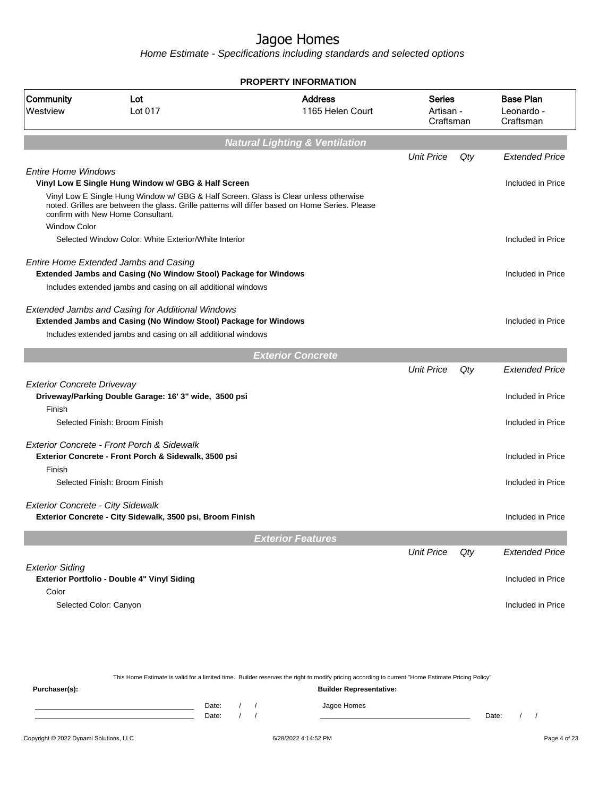Home Estimate - Specifications including standards and selected options

|                                             |                                                                                                                           | <b>PROPERTY INFORMATION</b>                                                                    |                                         |     |                                             |
|---------------------------------------------|---------------------------------------------------------------------------------------------------------------------------|------------------------------------------------------------------------------------------------|-----------------------------------------|-----|---------------------------------------------|
| Community<br>Westview                       | Lot<br>Lot 017                                                                                                            | <b>Address</b><br>1165 Helen Court                                                             | <b>Series</b><br>Artisan -<br>Craftsman |     | <b>Base Plan</b><br>Leonardo -<br>Craftsman |
|                                             |                                                                                                                           | <b>Natural Lighting &amp; Ventilation</b>                                                      |                                         |     |                                             |
|                                             |                                                                                                                           |                                                                                                | <b>Unit Price</b>                       | Qty | <b>Extended Price</b>                       |
| <b>Entire Home Windows</b>                  | Vinyl Low E Single Hung Window w/ GBG & Half Screen                                                                       |                                                                                                |                                         |     | Included in Price                           |
| <b>Window Color</b>                         | Vinyl Low E Single Hung Window w/ GBG & Half Screen. Glass is Clear unless otherwise<br>confirm with New Home Consultant. | noted. Grilles are between the glass. Grille patterns will differ based on Home Series. Please |                                         |     |                                             |
|                                             | Selected Window Color: White Exterior/White Interior                                                                      |                                                                                                |                                         |     | Included in Price                           |
|                                             |                                                                                                                           |                                                                                                |                                         |     |                                             |
|                                             | Entire Home Extended Jambs and Casing<br><b>Extended Jambs and Casing (No Window Stool) Package for Windows</b>           |                                                                                                |                                         |     | Included in Price                           |
|                                             | Includes extended jambs and casing on all additional windows                                                              |                                                                                                |                                         |     |                                             |
|                                             | Extended Jambs and Casing for Additional Windows                                                                          |                                                                                                |                                         |     |                                             |
|                                             | Extended Jambs and Casing (No Window Stool) Package for Windows                                                           |                                                                                                |                                         |     | Included in Price                           |
|                                             | Includes extended jambs and casing on all additional windows                                                              |                                                                                                |                                         |     |                                             |
|                                             |                                                                                                                           | <b>Exterior Concrete</b>                                                                       |                                         |     |                                             |
|                                             |                                                                                                                           |                                                                                                | <b>Unit Price</b>                       | Qty | <b>Extended Price</b>                       |
| <b>Exterior Concrete Driveway</b><br>Finish | Driveway/Parking Double Garage: 16' 3" wide, 3500 psi                                                                     |                                                                                                |                                         |     | Included in Price                           |
|                                             | Selected Finish: Broom Finish                                                                                             |                                                                                                |                                         |     | Included in Price                           |
|                                             | Exterior Concrete - Front Porch & Sidewalk                                                                                |                                                                                                |                                         |     |                                             |
|                                             | Exterior Concrete - Front Porch & Sidewalk, 3500 psi                                                                      |                                                                                                |                                         |     | Included in Price                           |
| Finish                                      | Selected Finish: Broom Finish                                                                                             |                                                                                                |                                         |     | Included in Price                           |
|                                             |                                                                                                                           |                                                                                                |                                         |     |                                             |
| <b>Exterior Concrete - City Sidewalk</b>    | Exterior Concrete - City Sidewalk, 3500 psi, Broom Finish                                                                 |                                                                                                |                                         |     | Included in Price                           |
|                                             |                                                                                                                           | <b>Exterior Features</b>                                                                       |                                         |     |                                             |
|                                             |                                                                                                                           |                                                                                                | <b>Unit Price</b>                       | Qty | <b>Extended Price</b>                       |
| <b>Exterior Siding</b>                      |                                                                                                                           |                                                                                                |                                         |     |                                             |
| Color                                       | Exterior Portfolio - Double 4" Vinyl Siding                                                                               |                                                                                                |                                         |     | Included in Price                           |
|                                             | Selected Color: Canyon                                                                                                    |                                                                                                |                                         |     | Included in Price                           |
|                                             |                                                                                                                           |                                                                                                |                                         |     |                                             |
|                                             |                                                                                                                           |                                                                                                |                                         |     |                                             |
|                                             |                                                                                                                           |                                                                                                |                                         |     |                                             |

This Home Estimate is valid for a limited time. Builder reserves the right to modify pricing according to current "Home Estimate Pricing Policy" **Purchaser(s): Builder Representative:** Date: / / Jagoe Homes<br>Date: / / Jagoe Homes Date: / / Date: / /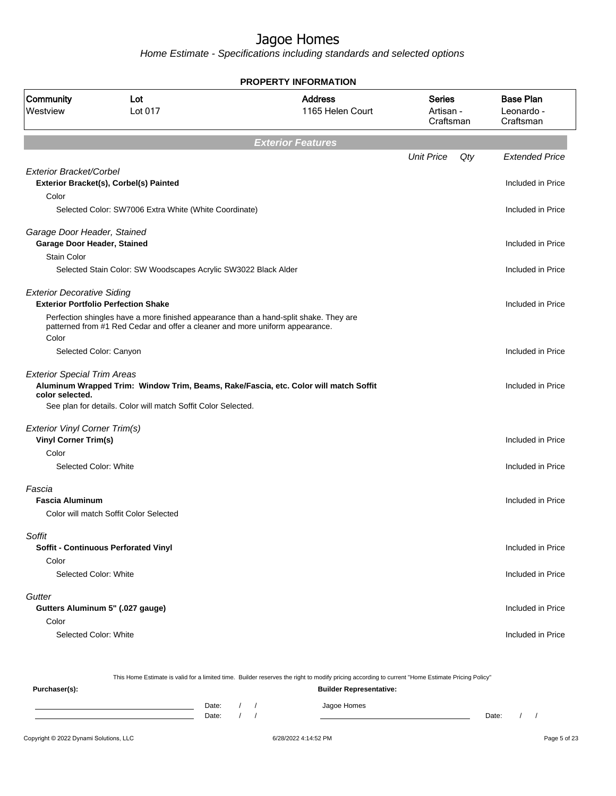Home Estimate - Specifications including standards and selected options

|                                                                     |                                                                                                                                     | <b>PROPERTY INFORMATION</b>                                                          |                                  |     |                                             |
|---------------------------------------------------------------------|-------------------------------------------------------------------------------------------------------------------------------------|--------------------------------------------------------------------------------------|----------------------------------|-----|---------------------------------------------|
| Community<br>Westview                                               | Lot<br>Lot 017                                                                                                                      | <b>Address</b><br>1165 Helen Court                                                   | Series<br>Artisan -<br>Craftsman |     | <b>Base Plan</b><br>Leonardo -<br>Craftsman |
|                                                                     |                                                                                                                                     | <b>Exterior Features</b>                                                             |                                  |     |                                             |
|                                                                     |                                                                                                                                     |                                                                                      | <b>Unit Price</b>                | Qty | <b>Extended Price</b>                       |
| Exterior Bracket/Corbel                                             | Exterior Bracket(s), Corbel(s) Painted                                                                                              |                                                                                      |                                  |     | Included in Price                           |
| Color                                                               | Selected Color: SW7006 Extra White (White Coordinate)                                                                               |                                                                                      |                                  |     | Included in Price                           |
| Garage Door Header, Stained<br>Garage Door Header, Stained          |                                                                                                                                     |                                                                                      |                                  |     | Included in Price                           |
| <b>Stain Color</b>                                                  | Selected Stain Color: SW Woodscapes Acrylic SW3022 Black Alder                                                                      |                                                                                      |                                  |     | Included in Price                           |
| <b>Exterior Decorative Siding</b>                                   | <b>Exterior Portfolio Perfection Shake</b><br>Perfection shingles have a more finished appearance than a hand-split shake. They are |                                                                                      |                                  |     | Included in Price                           |
| Color                                                               | patterned from #1 Red Cedar and offer a cleaner and more uniform appearance.<br>Selected Color: Canyon                              |                                                                                      |                                  |     | Included in Price                           |
| <b>Exterior Special Trim Areas</b><br>color selected.               | See plan for details. Color will match Soffit Color Selected.                                                                       | Aluminum Wrapped Trim: Window Trim, Beams, Rake/Fascia, etc. Color will match Soffit |                                  |     | Included in Price                           |
|                                                                     |                                                                                                                                     |                                                                                      |                                  |     |                                             |
| <b>Exterior Vinyl Corner Trim(s)</b><br><b>Vinyl Corner Trim(s)</b> |                                                                                                                                     |                                                                                      |                                  |     | Included in Price                           |
| Color<br>Selected Color: White                                      |                                                                                                                                     |                                                                                      |                                  |     | Included in Price                           |
| Fascia<br><b>Fascia Aluminum</b>                                    |                                                                                                                                     |                                                                                      |                                  |     | Included in Price                           |
|                                                                     | Color will match Soffit Color Selected                                                                                              |                                                                                      |                                  |     |                                             |
| Soffit                                                              | <b>Soffit - Continuous Perforated Vinyl</b>                                                                                         |                                                                                      |                                  |     | Included in Price                           |
| Color<br>Selected Color: White                                      |                                                                                                                                     |                                                                                      |                                  |     | Included in Price                           |
| Gutter                                                              | Gutters Aluminum 5" (.027 gauge)                                                                                                    |                                                                                      |                                  |     | Included in Price                           |
| Color                                                               |                                                                                                                                     |                                                                                      |                                  |     |                                             |
| Selected Color: White                                               |                                                                                                                                     |                                                                                      |                                  |     | Included in Price                           |
|                                                                     |                                                                                                                                     |                                                                                      |                                  |     |                                             |

This Home Estimate is valid for a limited time. Builder reserves the right to modify pricing according to current "Home Estimate Pricing Policy" **Purchaser(s): Builder Representative:** Date: / / Jagoe Homes<br>Date: / / Jagoe Homes Date: / / Date: / /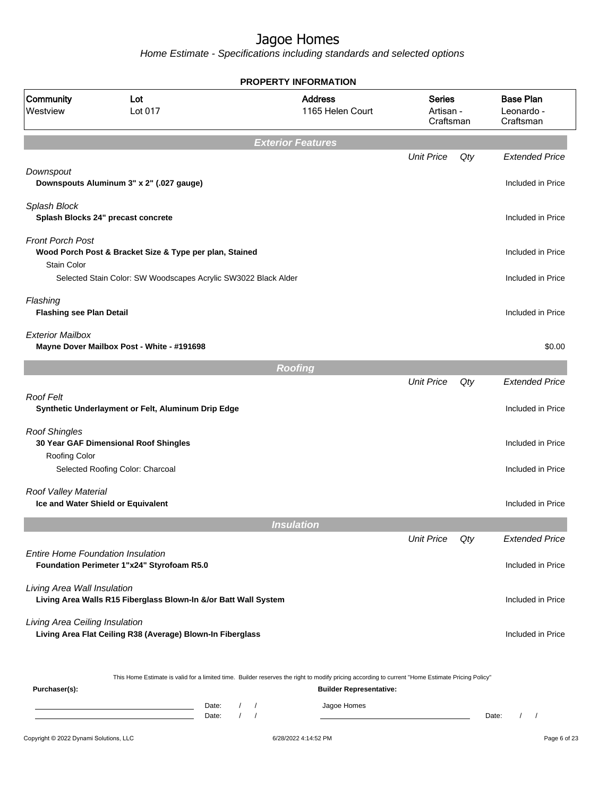|                                               |                                                                                                                                                  |                          | <b>PROPERTY INFORMATION</b>        |                                         |     |                                             |
|-----------------------------------------------|--------------------------------------------------------------------------------------------------------------------------------------------------|--------------------------|------------------------------------|-----------------------------------------|-----|---------------------------------------------|
| <b>Community</b><br>Westview                  | Lot<br>Lot 017                                                                                                                                   |                          | <b>Address</b><br>1165 Helen Court | <b>Series</b><br>Artisan -<br>Craftsman |     | <b>Base Plan</b><br>Leonardo -<br>Craftsman |
|                                               |                                                                                                                                                  |                          | <b>Exterior Features</b>           |                                         |     |                                             |
|                                               |                                                                                                                                                  |                          |                                    | <b>Unit Price</b>                       | Qty | <b>Extended Price</b>                       |
| Downspout                                     | Downspouts Aluminum 3" x 2" (.027 gauge)                                                                                                         |                          |                                    |                                         |     | Included in Price                           |
| Splash Block                                  | Splash Blocks 24" precast concrete                                                                                                               |                          |                                    |                                         |     | Included in Price                           |
| <b>Front Porch Post</b><br><b>Stain Color</b> | Wood Porch Post & Bracket Size & Type per plan, Stained                                                                                          |                          |                                    |                                         |     | Included in Price                           |
|                                               | Selected Stain Color: SW Woodscapes Acrylic SW3022 Black Alder                                                                                   |                          |                                    |                                         |     | Included in Price                           |
| Flashing<br><b>Flashing see Plan Detail</b>   |                                                                                                                                                  |                          |                                    |                                         |     | Included in Price                           |
| <b>Exterior Mailbox</b>                       | Mayne Dover Mailbox Post - White - #191698                                                                                                       |                          |                                    |                                         |     | \$0.00                                      |
|                                               |                                                                                                                                                  |                          | <b>Roofing</b>                     |                                         |     |                                             |
|                                               |                                                                                                                                                  |                          |                                    | <b>Unit Price</b>                       | Qty | <b>Extended Price</b>                       |
| <b>Roof Felt</b>                              | Synthetic Underlayment or Felt, Aluminum Drip Edge                                                                                               |                          |                                    |                                         |     | Included in Price                           |
| <b>Roof Shingles</b><br>Roofing Color         | 30 Year GAF Dimensional Roof Shingles                                                                                                            |                          |                                    |                                         |     | Included in Price                           |
|                                               | Selected Roofing Color: Charcoal                                                                                                                 |                          |                                    |                                         |     | Included in Price                           |
| Roof Valley Material                          | Ice and Water Shield or Equivalent                                                                                                               |                          |                                    |                                         |     | Included in Price                           |
|                                               |                                                                                                                                                  |                          | <b>Insulation</b>                  |                                         |     |                                             |
|                                               |                                                                                                                                                  |                          |                                    | <b>Unit Price</b>                       | Qty | Extended Price                              |
| <b>Entire Home Foundation Insulation</b>      | Foundation Perimeter 1"x24" Styrofoam R5.0                                                                                                       |                          |                                    |                                         |     | Included in Price                           |
| Living Area Wall Insulation                   | Living Area Walls R15 Fiberglass Blown-In &/or Batt Wall System                                                                                  |                          |                                    |                                         |     | Included in Price                           |
| Living Area Ceiling Insulation                | Living Area Flat Ceiling R38 (Average) Blown-In Fiberglass                                                                                       |                          |                                    |                                         |     | Included in Price                           |
| Purchaser(s):                                 | This Home Estimate is valid for a limited time. Builder reserves the right to modify pricing according to current "Home Estimate Pricing Policy" |                          | <b>Builder Representative:</b>     |                                         |     |                                             |
|                                               | Date:<br><u> 1989 - Johann Barn, mars eta bainar eta idazlea (</u>                                                                               | $\sqrt{2}$<br>$\sqrt{2}$ | Jagoe Homes                        |                                         |     |                                             |
|                                               | Date:                                                                                                                                            | $\sqrt{ }$<br>$\prime$   |                                    |                                         |     | Date:<br>$\sqrt{2}$<br>$\sqrt{2}$           |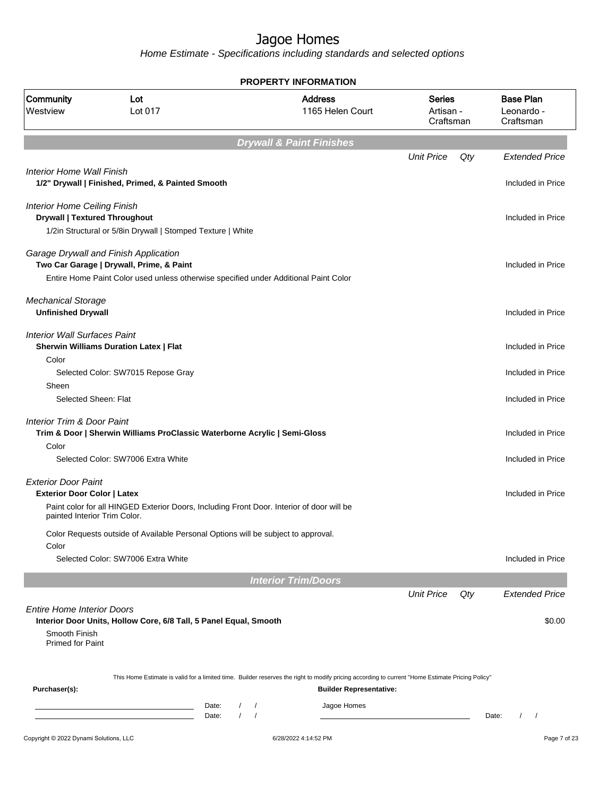|                                                                             |                                                                                                                                         |                                                  | PROPERTY INFORMATION                                                                                                                                                               |                                         |     |                                             |
|-----------------------------------------------------------------------------|-----------------------------------------------------------------------------------------------------------------------------------------|--------------------------------------------------|------------------------------------------------------------------------------------------------------------------------------------------------------------------------------------|-----------------------------------------|-----|---------------------------------------------|
| Community<br>Westview                                                       | Lot<br>Lot 017                                                                                                                          |                                                  | <b>Address</b><br>1165 Helen Court                                                                                                                                                 | <b>Series</b><br>Artisan -<br>Craftsman |     | <b>Base Plan</b><br>Leonardo -<br>Craftsman |
|                                                                             |                                                                                                                                         |                                                  | <b>Drywall &amp; Paint Finishes</b>                                                                                                                                                |                                         |     |                                             |
|                                                                             |                                                                                                                                         |                                                  |                                                                                                                                                                                    | <b>Unit Price</b>                       | Qty | <b>Extended Price</b>                       |
| Interior Home Wall Finish                                                   | 1/2" Drywall   Finished, Primed, & Painted Smooth                                                                                       |                                                  |                                                                                                                                                                                    |                                         |     | Included in Price                           |
| <b>Interior Home Ceiling Finish</b><br><b>Drywall   Textured Throughout</b> |                                                                                                                                         |                                                  |                                                                                                                                                                                    |                                         |     | Included in Price                           |
|                                                                             | 1/2in Structural or 5/8in Drywall   Stomped Texture   White                                                                             |                                                  |                                                                                                                                                                                    |                                         |     |                                             |
|                                                                             | Garage Drywall and Finish Application<br>Two Car Garage   Drywall, Prime, & Paint                                                       |                                                  |                                                                                                                                                                                    |                                         |     | Included in Price                           |
|                                                                             | Entire Home Paint Color used unless otherwise specified under Additional Paint Color                                                    |                                                  |                                                                                                                                                                                    |                                         |     |                                             |
| <b>Mechanical Storage</b><br><b>Unfinished Drywall</b>                      |                                                                                                                                         |                                                  |                                                                                                                                                                                    |                                         |     | Included in Price                           |
| <b>Interior Wall Surfaces Paint</b>                                         | <b>Sherwin Williams Duration Latex   Flat</b>                                                                                           |                                                  |                                                                                                                                                                                    |                                         |     | Included in Price                           |
| Color<br>Sheen                                                              | Selected Color: SW7015 Repose Gray                                                                                                      |                                                  |                                                                                                                                                                                    |                                         |     | Included in Price                           |
| Selected Sheen: Flat                                                        |                                                                                                                                         |                                                  |                                                                                                                                                                                    |                                         |     | Included in Price                           |
| <b>Interior Trim &amp; Door Paint</b>                                       | Trim & Door   Sherwin Williams ProClassic Waterborne Acrylic   Semi-Gloss                                                               |                                                  |                                                                                                                                                                                    |                                         |     | Included in Price                           |
| Color                                                                       | Selected Color: SW7006 Extra White                                                                                                      |                                                  |                                                                                                                                                                                    |                                         |     | Included in Price                           |
| <b>Exterior Door Paint</b>                                                  |                                                                                                                                         |                                                  |                                                                                                                                                                                    |                                         |     |                                             |
| <b>Exterior Door Color   Latex</b><br>painted Interior Trim Color.          | Paint color for all HINGED Exterior Doors, Including Front Door. Interior of door will be                                               |                                                  |                                                                                                                                                                                    |                                         |     | Included in Price                           |
| Color                                                                       | Color Requests outside of Available Personal Options will be subject to approval.                                                       |                                                  |                                                                                                                                                                                    |                                         |     |                                             |
|                                                                             | Selected Color: SW7006 Extra White                                                                                                      |                                                  |                                                                                                                                                                                    |                                         |     | Included in Price                           |
|                                                                             |                                                                                                                                         |                                                  | <b>Interior Trim/Doors</b>                                                                                                                                                         |                                         |     |                                             |
|                                                                             |                                                                                                                                         |                                                  |                                                                                                                                                                                    | <b>Unit Price</b>                       | Qty | <b>Extended Price</b>                       |
| <b>Entire Home Interior Doors</b><br>Smooth Finish                          | Interior Door Units, Hollow Core, 6/8 Tall, 5 Panel Equal, Smooth                                                                       |                                                  |                                                                                                                                                                                    |                                         |     | \$0.00                                      |
| Primed for Paint                                                            |                                                                                                                                         |                                                  |                                                                                                                                                                                    |                                         |     |                                             |
| Purchaser(s):                                                               |                                                                                                                                         |                                                  | This Home Estimate is valid for a limited time. Builder reserves the right to modify pricing according to current "Home Estimate Pricing Policy"<br><b>Builder Representative:</b> |                                         |     |                                             |
|                                                                             | Date:<br><u> 1989 - Johann Barn, mars ann an t-Amhain an t-Amhain an t-Amhain an t-Amhain an t-Amhain an t-Amhain an t-Amh</u><br>Date: | $\sqrt{2}$<br>$\prime$<br>$\sqrt{ }$<br>$\prime$ | Jagoe Homes                                                                                                                                                                        |                                         |     | Date:<br>$\prime$<br>$\sqrt{2}$             |
|                                                                             |                                                                                                                                         |                                                  |                                                                                                                                                                                    |                                         |     |                                             |
| Copyright © 2022 Dynami Solutions, LLC                                      |                                                                                                                                         |                                                  | 6/28/2022 4:14:52 PM                                                                                                                                                               |                                         |     | Page 7 of 23                                |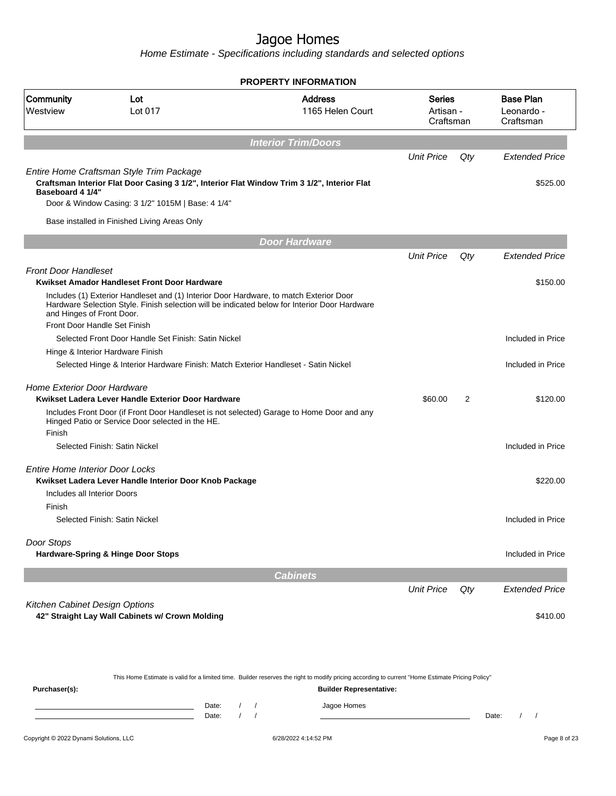Home Estimate - Specifications including standards and selected options

|                                        |                                                                                                                                         | <b>PROPERTY INFORMATION</b>                                                                   |                                         |     |                                             |
|----------------------------------------|-----------------------------------------------------------------------------------------------------------------------------------------|-----------------------------------------------------------------------------------------------|-----------------------------------------|-----|---------------------------------------------|
| Community<br>Westview                  | Lot<br>Lot 017                                                                                                                          | <b>Address</b><br>1165 Helen Court                                                            | <b>Series</b><br>Artisan -<br>Craftsman |     | <b>Base Plan</b><br>Leonardo -<br>Craftsman |
|                                        |                                                                                                                                         |                                                                                               |                                         |     |                                             |
|                                        |                                                                                                                                         | <b>Interior Trim/Doors</b>                                                                    |                                         |     |                                             |
|                                        |                                                                                                                                         |                                                                                               | <b>Unit Price</b>                       | Qty | <b>Extended Price</b>                       |
| Baseboard 4 1/4"                       | Entire Home Craftsman Style Trim Package<br>Craftsman Interior Flat Door Casing 3 1/2", Interior Flat Window Trim 3 1/2", Interior Flat |                                                                                               |                                         |     | \$525.00                                    |
|                                        | Door & Window Casing: 3 1/2" 1015M   Base: 4 1/4"                                                                                       |                                                                                               |                                         |     |                                             |
|                                        | Base installed in Finished Living Areas Only                                                                                            |                                                                                               |                                         |     |                                             |
|                                        |                                                                                                                                         | Door Hardware                                                                                 |                                         |     |                                             |
|                                        |                                                                                                                                         |                                                                                               | <b>Unit Price</b>                       | Qty | <b>Extended Price</b>                       |
| <b>Front Door Handleset</b>            |                                                                                                                                         |                                                                                               |                                         |     |                                             |
|                                        | Kwikset Amador Handleset Front Door Hardware                                                                                            |                                                                                               |                                         |     | \$150.00                                    |
| and Hinges of Front Door.              | Includes (1) Exterior Handleset and (1) Interior Door Hardware, to match Exterior Door                                                  | Hardware Selection Style. Finish selection will be indicated below for Interior Door Hardware |                                         |     |                                             |
| Front Door Handle Set Finish           |                                                                                                                                         |                                                                                               |                                         |     |                                             |
|                                        | Selected Front Door Handle Set Finish: Satin Nickel                                                                                     |                                                                                               |                                         |     | Included in Price                           |
|                                        | Hinge & Interior Hardware Finish                                                                                                        |                                                                                               |                                         |     |                                             |
|                                        | Selected Hinge & Interior Hardware Finish: Match Exterior Handleset - Satin Nickel                                                      |                                                                                               |                                         |     | Included in Price                           |
| Home Exterior Door Hardware            |                                                                                                                                         |                                                                                               |                                         |     |                                             |
|                                        | Kwikset Ladera Lever Handle Exterior Door Hardware                                                                                      |                                                                                               | \$60.00                                 | 2   | \$120.00                                    |
|                                        | Hinged Patio or Service Door selected in the HE.                                                                                        | Includes Front Door (if Front Door Handleset is not selected) Garage to Home Door and any     |                                         |     |                                             |
| Finish                                 |                                                                                                                                         |                                                                                               |                                         |     |                                             |
|                                        | Selected Finish: Satin Nickel                                                                                                           |                                                                                               |                                         |     | Included in Price                           |
| <b>Entire Home Interior Door Locks</b> |                                                                                                                                         |                                                                                               |                                         |     |                                             |
|                                        | Kwikset Ladera Lever Handle Interior Door Knob Package                                                                                  |                                                                                               |                                         |     | \$220.00                                    |
| Includes all Interior Doors            |                                                                                                                                         |                                                                                               |                                         |     |                                             |
| Finish                                 |                                                                                                                                         |                                                                                               |                                         |     |                                             |
|                                        | Selected Finish: Satin Nickel                                                                                                           |                                                                                               |                                         |     | Included in Price                           |
| Door Stops                             |                                                                                                                                         |                                                                                               |                                         |     |                                             |
|                                        | Hardware-Spring & Hinge Door Stops                                                                                                      |                                                                                               |                                         |     | Included in Price                           |
|                                        |                                                                                                                                         | <b>Cabinets</b>                                                                               |                                         |     |                                             |
|                                        |                                                                                                                                         |                                                                                               | <b>Unit Price</b>                       | Qty | <b>Extended Price</b>                       |
| Kitchen Cabinet Design Options         |                                                                                                                                         |                                                                                               |                                         |     |                                             |
|                                        | 42" Straight Lay Wall Cabinets w/ Crown Molding                                                                                         |                                                                                               |                                         |     | \$410.00                                    |

This Home Estimate is valid for a limited time. Builder reserves the right to modify pricing according to current "Home Estimate Pricing Policy" **Purchaser(s): Builder Representative:** Date: / / Jagoe Homes<br>Date: / / Jagoe Homes Date: / / Date: / /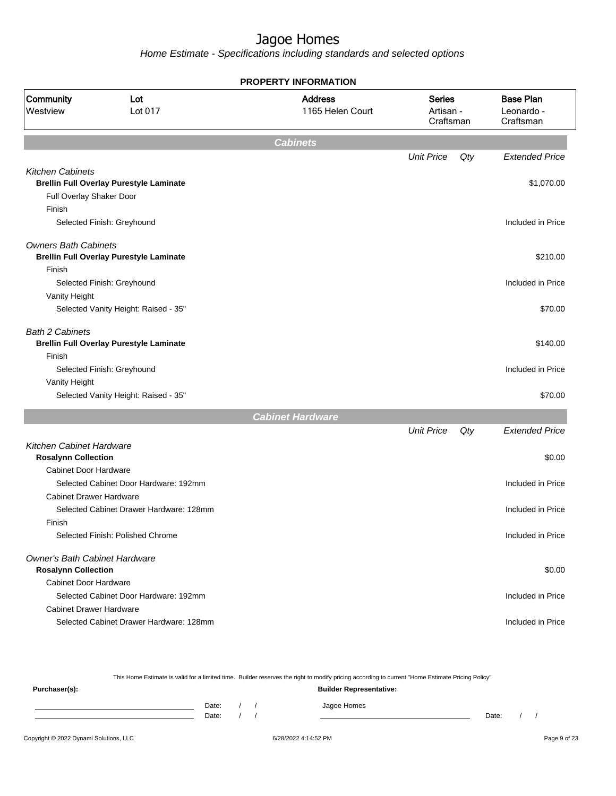|                                                        | <b>PROPERTY INFORMATION</b>                    |                                    |                                         |     |                                             |  |  |  |
|--------------------------------------------------------|------------------------------------------------|------------------------------------|-----------------------------------------|-----|---------------------------------------------|--|--|--|
| Community<br>Westview                                  | Lot<br>Lot 017                                 | <b>Address</b><br>1165 Helen Court | <b>Series</b><br>Artisan -<br>Craftsman |     | <b>Base Plan</b><br>Leonardo -<br>Craftsman |  |  |  |
|                                                        |                                                | <b>Cabinets</b>                    |                                         |     |                                             |  |  |  |
|                                                        |                                                |                                    | <b>Unit Price</b>                       | Qty | <b>Extended Price</b>                       |  |  |  |
| <b>Kitchen Cabinets</b>                                |                                                |                                    |                                         |     |                                             |  |  |  |
| Full Overlay Shaker Door                               | <b>Brellin Full Overlay Purestyle Laminate</b> |                                    |                                         |     | \$1,070.00                                  |  |  |  |
| Finish                                                 |                                                |                                    |                                         |     |                                             |  |  |  |
|                                                        | Selected Finish: Greyhound                     |                                    |                                         |     | Included in Price                           |  |  |  |
| <b>Owners Bath Cabinets</b>                            |                                                |                                    |                                         |     |                                             |  |  |  |
|                                                        | <b>Brellin Full Overlay Purestyle Laminate</b> |                                    |                                         |     | \$210.00                                    |  |  |  |
| Finish                                                 |                                                |                                    |                                         |     |                                             |  |  |  |
|                                                        | Selected Finish: Greyhound                     |                                    |                                         |     | Included in Price                           |  |  |  |
| Vanity Height                                          | Selected Vanity Height: Raised - 35"           |                                    |                                         |     | \$70.00                                     |  |  |  |
| <b>Bath 2 Cabinets</b>                                 | <b>Brellin Full Overlay Purestyle Laminate</b> |                                    |                                         |     | \$140.00                                    |  |  |  |
| Finish                                                 | Selected Finish: Greyhound                     |                                    |                                         |     | Included in Price                           |  |  |  |
| Vanity Height                                          |                                                |                                    |                                         |     |                                             |  |  |  |
|                                                        | Selected Vanity Height: Raised - 35"           |                                    |                                         |     | \$70.00                                     |  |  |  |
|                                                        |                                                | <b>Cabinet Hardware</b>            |                                         |     |                                             |  |  |  |
|                                                        |                                                |                                    | <b>Unit Price</b>                       | Qty | <b>Extended Price</b>                       |  |  |  |
| Kitchen Cabinet Hardware<br><b>Rosalynn Collection</b> |                                                |                                    |                                         |     | \$0.00                                      |  |  |  |
| <b>Cabinet Door Hardware</b>                           |                                                |                                    |                                         |     |                                             |  |  |  |
|                                                        | Selected Cabinet Door Hardware: 192mm          |                                    |                                         |     | Included in Price                           |  |  |  |
| <b>Cabinet Drawer Hardware</b>                         |                                                |                                    |                                         |     |                                             |  |  |  |
|                                                        | Selected Cabinet Drawer Hardware: 128mm        |                                    |                                         |     | Included in Price                           |  |  |  |
| Finish                                                 |                                                |                                    |                                         |     |                                             |  |  |  |
|                                                        | Selected Finish: Polished Chrome               |                                    |                                         |     | Included in Price                           |  |  |  |
| Owner's Bath Cabinet Hardware                          |                                                |                                    |                                         |     |                                             |  |  |  |
| <b>Rosalynn Collection</b>                             |                                                |                                    |                                         |     | \$0.00                                      |  |  |  |
| <b>Cabinet Door Hardware</b>                           |                                                |                                    |                                         |     |                                             |  |  |  |
|                                                        | Selected Cabinet Door Hardware: 192mm          |                                    |                                         |     | Included in Price                           |  |  |  |
| <b>Cabinet Drawer Hardware</b>                         |                                                |                                    |                                         |     |                                             |  |  |  |
|                                                        | Selected Cabinet Drawer Hardware: 128mm        |                                    |                                         |     | Included in Price                           |  |  |  |

|               |       |  | This Home Estimate is valid for a limited time. Builder reserves the right to modify pricing according to current "Home Estimate Pricing Policy" |       |  |
|---------------|-------|--|--------------------------------------------------------------------------------------------------------------------------------------------------|-------|--|
| Purchaser(s): |       |  | <b>Builder Representative:</b>                                                                                                                   |       |  |
|               | Date: |  | Jagoe Homes                                                                                                                                      |       |  |
|               | Date: |  |                                                                                                                                                  | Date: |  |
|               |       |  |                                                                                                                                                  |       |  |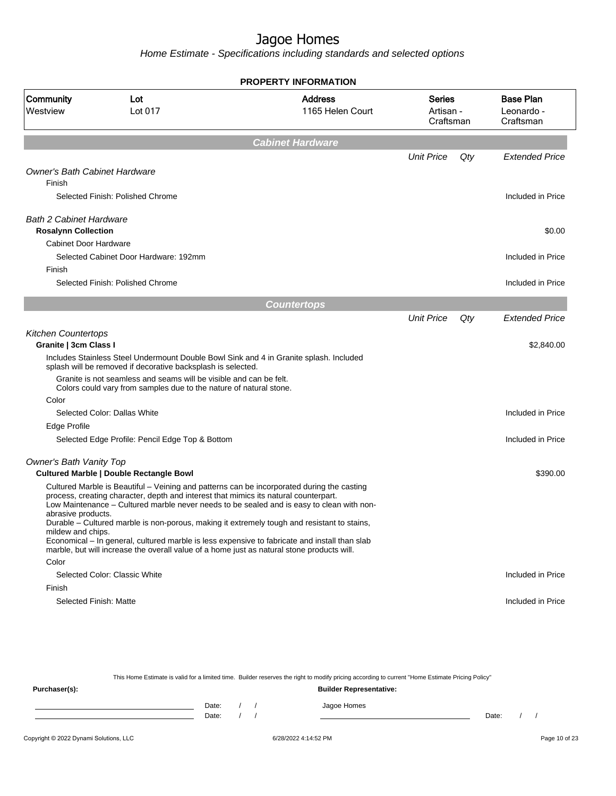Home Estimate - Specifications including standards and selected options

| <b>PROPERTY INFORMATION</b>                                                                                                                                                                                                                                                                                                                                                                          |                                  |     |                                             |
|------------------------------------------------------------------------------------------------------------------------------------------------------------------------------------------------------------------------------------------------------------------------------------------------------------------------------------------------------------------------------------------------------|----------------------------------|-----|---------------------------------------------|
| Community<br><b>Address</b><br>Lot<br>Lot 017<br>1165 Helen Court<br>Westview                                                                                                                                                                                                                                                                                                                        | Series<br>Artisan -<br>Craftsman |     | <b>Base Plan</b><br>Leonardo -<br>Craftsman |
| <b>Cabinet Hardware</b>                                                                                                                                                                                                                                                                                                                                                                              |                                  |     |                                             |
|                                                                                                                                                                                                                                                                                                                                                                                                      | <b>Unit Price</b>                | Qty | <b>Extended Price</b>                       |
| <b>Owner's Bath Cabinet Hardware</b><br>Finish                                                                                                                                                                                                                                                                                                                                                       |                                  |     |                                             |
| Selected Finish: Polished Chrome                                                                                                                                                                                                                                                                                                                                                                     |                                  |     | Included in Price                           |
| <b>Bath 2 Cabinet Hardware</b><br><b>Rosalynn Collection</b>                                                                                                                                                                                                                                                                                                                                         |                                  |     | \$0.00                                      |
| <b>Cabinet Door Hardware</b>                                                                                                                                                                                                                                                                                                                                                                         |                                  |     |                                             |
| Selected Cabinet Door Hardware: 192mm                                                                                                                                                                                                                                                                                                                                                                |                                  |     | Included in Price                           |
| Finish                                                                                                                                                                                                                                                                                                                                                                                               |                                  |     |                                             |
| Selected Finish: Polished Chrome                                                                                                                                                                                                                                                                                                                                                                     |                                  |     | Included in Price                           |
| <b>Countertops</b>                                                                                                                                                                                                                                                                                                                                                                                   |                                  |     |                                             |
|                                                                                                                                                                                                                                                                                                                                                                                                      | <b>Unit Price</b>                | Qty | <b>Extended Price</b>                       |
| <b>Kitchen Countertops</b><br>Granite   3cm Class I                                                                                                                                                                                                                                                                                                                                                  |                                  |     | \$2,840.00                                  |
| Includes Stainless Steel Undermount Double Bowl Sink and 4 in Granite splash. Included<br>splash will be removed if decorative backsplash is selected.                                                                                                                                                                                                                                               |                                  |     |                                             |
| Granite is not seamless and seams will be visible and can be felt.<br>Colors could vary from samples due to the nature of natural stone.                                                                                                                                                                                                                                                             |                                  |     |                                             |
| Color                                                                                                                                                                                                                                                                                                                                                                                                |                                  |     |                                             |
| Selected Color: Dallas White                                                                                                                                                                                                                                                                                                                                                                         |                                  |     | Included in Price                           |
| Edge Profile                                                                                                                                                                                                                                                                                                                                                                                         |                                  |     |                                             |
| Selected Edge Profile: Pencil Edge Top & Bottom                                                                                                                                                                                                                                                                                                                                                      |                                  |     | Included in Price                           |
| Owner's Bath Vanity Top                                                                                                                                                                                                                                                                                                                                                                              |                                  |     |                                             |
| <b>Cultured Marble   Double Rectangle Bowl</b>                                                                                                                                                                                                                                                                                                                                                       |                                  |     | \$390.00                                    |
| Cultured Marble is Beautiful - Veining and patterns can be incorporated during the casting<br>process, creating character, depth and interest that mimics its natural counterpart.<br>Low Maintenance – Cultured marble never needs to be sealed and is easy to clean with non-<br>abrasive products.<br>Durable - Cultured marble is non-porous, making it extremely tough and resistant to stains, |                                  |     |                                             |
| mildew and chips.<br>Economical - In general, cultured marble is less expensive to fabricate and install than slab<br>marble, but will increase the overall value of a home just as natural stone products will.                                                                                                                                                                                     |                                  |     |                                             |
| Color                                                                                                                                                                                                                                                                                                                                                                                                |                                  |     |                                             |
| Selected Color: Classic White                                                                                                                                                                                                                                                                                                                                                                        |                                  |     | Included in Price                           |
| Finish<br>Selected Finish: Matte                                                                                                                                                                                                                                                                                                                                                                     |                                  |     | Included in Price                           |
|                                                                                                                                                                                                                                                                                                                                                                                                      |                                  |     |                                             |

This Home Estimate is valid for a limited time. Builder reserves the right to modify pricing according to current "Home Estimate Pricing Policy"

**Purchaser(s): Builder Representative:** Date: / / Jagoe Homes<br>Date: / / Jagoe Homes Date: / / **Date: / / 2006** Date: / / / Date: / / /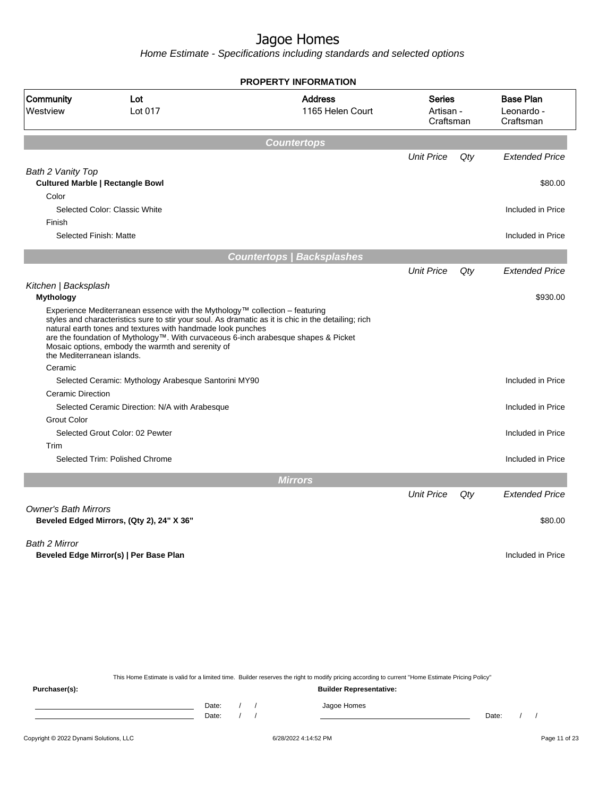Home Estimate - Specifications including standards and selected options

|                             |                                                                                                                                                                                                                                                                                                                                                                                              | <b>PROPERTY INFORMATION</b>        |                                         |     |                                             |
|-----------------------------|----------------------------------------------------------------------------------------------------------------------------------------------------------------------------------------------------------------------------------------------------------------------------------------------------------------------------------------------------------------------------------------------|------------------------------------|-----------------------------------------|-----|---------------------------------------------|
| Community<br>Westview       | Lot<br>Lot 017                                                                                                                                                                                                                                                                                                                                                                               | <b>Address</b><br>1165 Helen Court | <b>Series</b><br>Artisan -<br>Craftsman |     | <b>Base Plan</b><br>Leonardo -<br>Craftsman |
|                             |                                                                                                                                                                                                                                                                                                                                                                                              | <b>Countertops</b>                 |                                         |     |                                             |
|                             |                                                                                                                                                                                                                                                                                                                                                                                              |                                    | <b>Unit Price</b>                       | Qty | <b>Extended Price</b>                       |
| Bath 2 Vanity Top           |                                                                                                                                                                                                                                                                                                                                                                                              |                                    |                                         |     |                                             |
|                             | <b>Cultured Marble   Rectangle Bowl</b>                                                                                                                                                                                                                                                                                                                                                      |                                    |                                         |     | \$80.00                                     |
| Color                       |                                                                                                                                                                                                                                                                                                                                                                                              |                                    |                                         |     |                                             |
|                             | Selected Color: Classic White                                                                                                                                                                                                                                                                                                                                                                |                                    |                                         |     | Included in Price                           |
| Finish                      |                                                                                                                                                                                                                                                                                                                                                                                              |                                    |                                         |     |                                             |
| Selected Finish: Matte      |                                                                                                                                                                                                                                                                                                                                                                                              |                                    |                                         |     | Included in Price                           |
|                             |                                                                                                                                                                                                                                                                                                                                                                                              | <b>Countertops   Backsplashes</b>  |                                         |     |                                             |
|                             |                                                                                                                                                                                                                                                                                                                                                                                              |                                    | <b>Unit Price</b>                       | Qty | <b>Extended Price</b>                       |
| Kitchen   Backsplash        |                                                                                                                                                                                                                                                                                                                                                                                              |                                    |                                         |     |                                             |
| <b>Mythology</b>            |                                                                                                                                                                                                                                                                                                                                                                                              |                                    |                                         |     | \$930.00                                    |
| the Mediterranean islands.  | Experience Mediterranean essence with the Mythology™ collection - featuring<br>styles and characteristics sure to stir your soul. As dramatic as it is chic in the detailing; rich<br>natural earth tones and textures with handmade look punches<br>are the foundation of Mythology™. With curvaceous 6-inch arabesque shapes & Picket<br>Mosaic options, embody the warmth and serenity of |                                    |                                         |     |                                             |
| Ceramic                     |                                                                                                                                                                                                                                                                                                                                                                                              |                                    |                                         |     |                                             |
|                             | Selected Ceramic: Mythology Arabesque Santorini MY90                                                                                                                                                                                                                                                                                                                                         |                                    |                                         |     | Included in Price                           |
| <b>Ceramic Direction</b>    |                                                                                                                                                                                                                                                                                                                                                                                              |                                    |                                         |     |                                             |
|                             | Selected Ceramic Direction: N/A with Arabesque                                                                                                                                                                                                                                                                                                                                               |                                    |                                         |     | Included in Price                           |
| <b>Grout Color</b>          |                                                                                                                                                                                                                                                                                                                                                                                              |                                    |                                         |     |                                             |
|                             | Selected Grout Color: 02 Pewter                                                                                                                                                                                                                                                                                                                                                              |                                    |                                         |     | Included in Price                           |
| Trim                        |                                                                                                                                                                                                                                                                                                                                                                                              |                                    |                                         |     |                                             |
|                             | Selected Trim: Polished Chrome                                                                                                                                                                                                                                                                                                                                                               |                                    |                                         |     | Included in Price                           |
|                             |                                                                                                                                                                                                                                                                                                                                                                                              | <b>Mirrors</b>                     |                                         |     |                                             |
|                             |                                                                                                                                                                                                                                                                                                                                                                                              |                                    | <b>Unit Price</b>                       | Qty | <b>Extended Price</b>                       |
| <b>Owner's Bath Mirrors</b> |                                                                                                                                                                                                                                                                                                                                                                                              |                                    |                                         |     |                                             |
|                             | Beveled Edged Mirrors, (Qty 2), 24" X 36"                                                                                                                                                                                                                                                                                                                                                    |                                    |                                         |     | \$80.00                                     |
|                             |                                                                                                                                                                                                                                                                                                                                                                                              |                                    |                                         |     |                                             |
| <b>Bath 2 Mirror</b>        | Beveled Edge Mirror(s)   Per Base Plan                                                                                                                                                                                                                                                                                                                                                       |                                    |                                         |     | Included in Price                           |
|                             |                                                                                                                                                                                                                                                                                                                                                                                              |                                    |                                         |     |                                             |

This Home Estimate is valid for a limited time. Builder reserves the right to modify pricing according to current "Home Estimate Pricing Policy"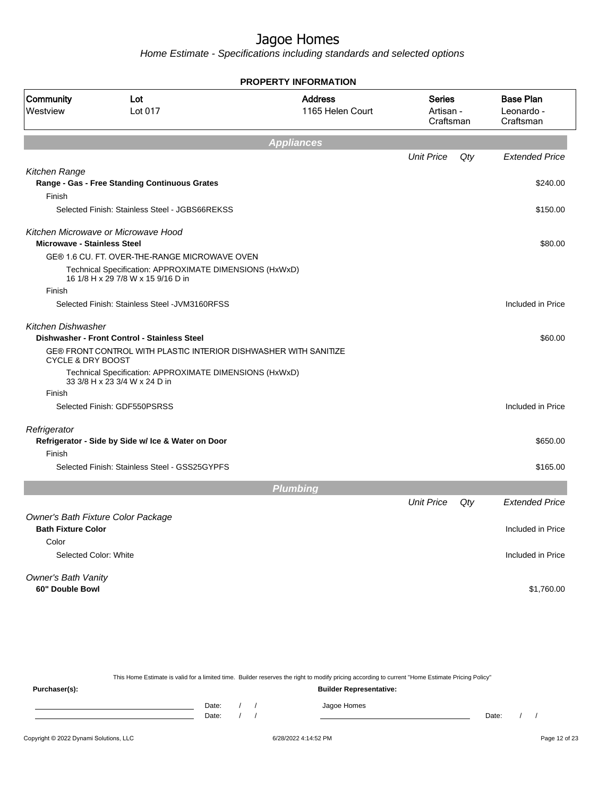Home Estimate - Specifications including standards and selected options

|                                    |                                                                                               | <b>PROPERTY INFORMATION</b>        |                                  |     |                                             |
|------------------------------------|-----------------------------------------------------------------------------------------------|------------------------------------|----------------------------------|-----|---------------------------------------------|
| Community<br>Westview              | Lot<br>Lot 017                                                                                | <b>Address</b><br>1165 Helen Court | Series<br>Artisan -<br>Craftsman |     | <b>Base Plan</b><br>Leonardo -<br>Craftsman |
|                                    |                                                                                               | <b>Appliances</b>                  |                                  |     |                                             |
|                                    |                                                                                               |                                    | <b>Unit Price</b>                | Qty | <b>Extended Price</b>                       |
| Kitchen Range                      |                                                                                               |                                    |                                  |     |                                             |
|                                    | Range - Gas - Free Standing Continuous Grates                                                 |                                    |                                  |     | \$240.00                                    |
| Finish                             |                                                                                               |                                    |                                  |     |                                             |
|                                    | Selected Finish: Stainless Steel - JGBS66REKSS                                                |                                    |                                  |     | \$150.00                                    |
|                                    | Kitchen Microwave or Microwave Hood                                                           |                                    |                                  |     |                                             |
| <b>Microwave - Stainless Steel</b> |                                                                                               |                                    |                                  |     | \$80.00                                     |
|                                    | GE® 1.6 CU. FT. OVER-THE-RANGE MICROWAVE OVEN                                                 |                                    |                                  |     |                                             |
|                                    | Technical Specification: APPROXIMATE DIMENSIONS (HxWxD)<br>16 1/8 H x 29 7/8 W x 15 9/16 D in |                                    |                                  |     |                                             |
| Finish                             |                                                                                               |                                    |                                  |     |                                             |
|                                    | Selected Finish: Stainless Steel - JVM3160RFSS                                                |                                    |                                  |     | Included in Price                           |
| Kitchen Dishwasher                 |                                                                                               |                                    |                                  |     |                                             |
|                                    | Dishwasher - Front Control - Stainless Steel                                                  |                                    |                                  |     | \$60.00                                     |
| <b>CYCLE &amp; DRY BOOST</b>       | GE® FRONT CONTROL WITH PLASTIC INTERIOR DISHWASHER WITH SANITIZE                              |                                    |                                  |     |                                             |
|                                    | Technical Specification: APPROXIMATE DIMENSIONS (HxWxD)<br>33 3/8 H x 23 3/4 W x 24 D in      |                                    |                                  |     |                                             |
| Finish                             |                                                                                               |                                    |                                  |     |                                             |
|                                    | Selected Finish: GDF550PSRSS                                                                  |                                    |                                  |     | Included in Price                           |
| Refrigerator                       |                                                                                               |                                    |                                  |     |                                             |
| Finish                             | Refrigerator - Side by Side w/ Ice & Water on Door                                            |                                    |                                  |     | \$650.00                                    |
|                                    | Selected Finish: Stainless Steel - GSS25GYPFS                                                 |                                    |                                  |     | \$165.00                                    |
|                                    |                                                                                               | <b>Plumbing</b>                    |                                  |     |                                             |
|                                    |                                                                                               |                                    | <b>Unit Price</b>                | Qty | <b>Extended Price</b>                       |
|                                    | Owner's Bath Fixture Color Package                                                            |                                    |                                  |     |                                             |
| <b>Bath Fixture Color</b>          |                                                                                               |                                    |                                  |     | Included in Price                           |
| Color                              |                                                                                               |                                    |                                  |     |                                             |
| Selected Color: White              |                                                                                               |                                    |                                  |     | Included in Price                           |
| Owner's Bath Vanity                |                                                                                               |                                    |                                  |     |                                             |
| 60" Double Bowl                    |                                                                                               |                                    |                                  |     | \$1,760.00                                  |
|                                    |                                                                                               |                                    |                                  |     |                                             |

This Home Estimate is valid for a limited time. Builder reserves the right to modify pricing according to current "Home Estimate Pricing Policy" **Purchaser(s): Builder Representative:** Date: / / Jagoe Homes<br>Date: / / Jagoe Homes Date: / / Date: / /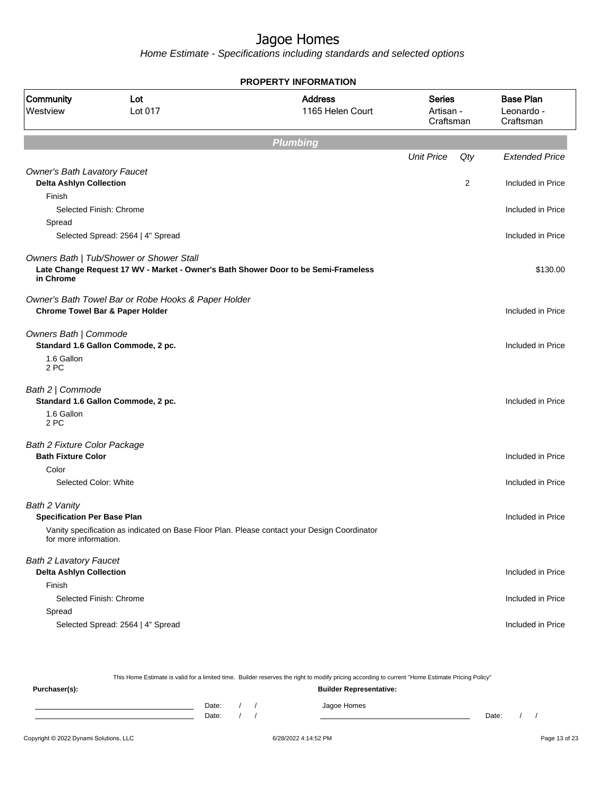|                                                                                 |                                                                                                                                | <b>PROPERTY INFORMATION</b>                                                                  |                                         |     |                                             |
|---------------------------------------------------------------------------------|--------------------------------------------------------------------------------------------------------------------------------|----------------------------------------------------------------------------------------------|-----------------------------------------|-----|---------------------------------------------|
| Community<br>Westview                                                           | Lot<br>Lot 017                                                                                                                 | <b>Address</b><br>1165 Helen Court                                                           | <b>Series</b><br>Artisan -<br>Craftsman |     | <b>Base Plan</b><br>Leonardo -<br>Craftsman |
|                                                                                 |                                                                                                                                | <b>Plumbing</b>                                                                              |                                         |     |                                             |
|                                                                                 |                                                                                                                                |                                                                                              | <b>Unit Price</b>                       | Qty | <b>Extended Price</b>                       |
| <b>Owner's Bath Lavatory Faucet</b><br><b>Delta Ashlyn Collection</b><br>Finish |                                                                                                                                |                                                                                              |                                         | 2   | Included in Price                           |
|                                                                                 | Selected Finish: Chrome                                                                                                        |                                                                                              |                                         |     | Included in Price                           |
| Spread                                                                          |                                                                                                                                |                                                                                              |                                         |     |                                             |
|                                                                                 | Selected Spread: 2564   4" Spread                                                                                              |                                                                                              |                                         |     | Included in Price                           |
| in Chrome                                                                       | Owners Bath   Tub/Shower or Shower Stall<br>Late Change Request 17 WV - Market - Owner's Bath Shower Door to be Semi-Frameless |                                                                                              |                                         |     | \$130.00                                    |
|                                                                                 | Owner's Bath Towel Bar or Robe Hooks & Paper Holder<br><b>Chrome Towel Bar &amp; Paper Holder</b>                              |                                                                                              |                                         |     | Included in Price                           |
| Owners Bath   Commode<br>1.6 Gallon<br>2 PC                                     | Standard 1.6 Gallon Commode, 2 pc.                                                                                             |                                                                                              |                                         |     | Included in Price                           |
| Bath 2   Commode<br>1.6 Gallon<br>2 PC                                          | Standard 1.6 Gallon Commode, 2 pc.                                                                                             |                                                                                              |                                         |     | Included in Price                           |
| <b>Bath 2 Fixture Color Package</b><br><b>Bath Fixture Color</b>                |                                                                                                                                |                                                                                              |                                         |     | Included in Price                           |
| Color<br>Selected Color: White                                                  |                                                                                                                                |                                                                                              |                                         |     | Included in Price                           |
| Bath 2 Vanity<br><b>Specification Per Base Plan</b><br>for more information.    |                                                                                                                                | Vanity specification as indicated on Base Floor Plan. Please contact your Design Coordinator |                                         |     | Included in Price                           |
| <b>Bath 2 Lavatory Faucet</b><br><b>Delta Ashlyn Collection</b>                 |                                                                                                                                |                                                                                              |                                         |     | Included in Price                           |
| Finish                                                                          | Selected Finish: Chrome                                                                                                        |                                                                                              |                                         |     | Included in Price                           |
| Spread                                                                          | Selected Spread: 2564   4" Spread                                                                                              |                                                                                              |                                         |     | Included in Price                           |

|               |       |  | This Home Estimate is valid for a limited time. Builder reserves the right to modify pricing according to current "Home Estimate Pricing Policy" |       |  |
|---------------|-------|--|--------------------------------------------------------------------------------------------------------------------------------------------------|-------|--|
| Purchaser(s): |       |  | <b>Builder Representative:</b>                                                                                                                   |       |  |
|               | Date: |  | Jagoe Homes                                                                                                                                      |       |  |
|               | Date: |  |                                                                                                                                                  | Date: |  |
|               |       |  |                                                                                                                                                  |       |  |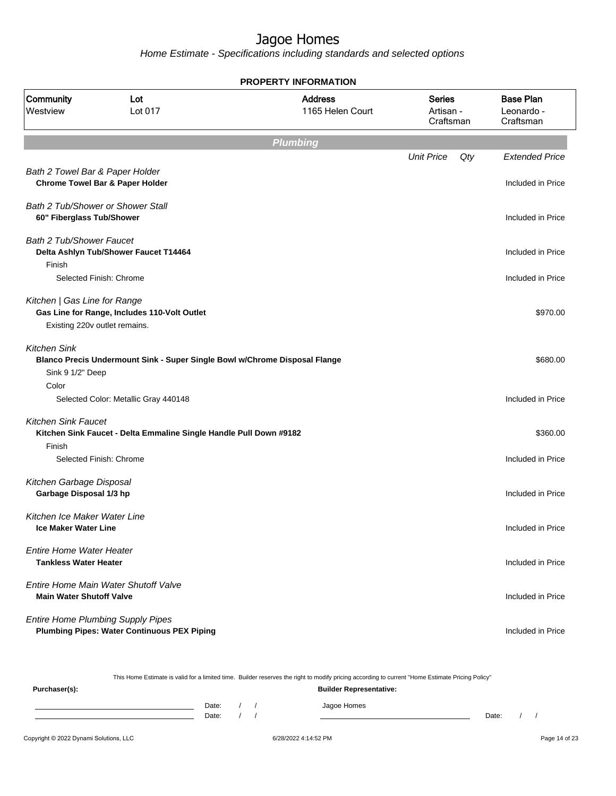Home Estimate - Specifications including standards and selected options

|                                                                 |                                                                                                | <b>PROPERTY INFORMATION</b>        |                                         |     |                                             |
|-----------------------------------------------------------------|------------------------------------------------------------------------------------------------|------------------------------------|-----------------------------------------|-----|---------------------------------------------|
| Community<br>Westview                                           | Lot<br>Lot 017                                                                                 | <b>Address</b><br>1165 Helen Court | <b>Series</b><br>Artisan -<br>Craftsman |     | <b>Base Plan</b><br>Leonardo -<br>Craftsman |
|                                                                 |                                                                                                | <b>Plumbing</b>                    |                                         |     |                                             |
|                                                                 |                                                                                                |                                    | <b>Unit Price</b>                       | Qty | <b>Extended Price</b>                       |
| Bath 2 Towel Bar & Paper Holder                                 | <b>Chrome Towel Bar &amp; Paper Holder</b>                                                     |                                    |                                         |     | Included in Price                           |
| 60" Fiberglass Tub/Shower                                       | Bath 2 Tub/Shower or Shower Stall                                                              |                                    |                                         |     | Included in Price                           |
| <b>Bath 2 Tub/Shower Faucet</b>                                 | Delta Ashlyn Tub/Shower Faucet T14464                                                          |                                    |                                         |     | Included in Price                           |
| Finish                                                          | Selected Finish: Chrome                                                                        |                                    |                                         |     | Included in Price                           |
| Kitchen   Gas Line for Range<br>Existing 220v outlet remains.   | Gas Line for Range, Includes 110-Volt Outlet                                                   |                                    |                                         |     | \$970.00                                    |
| <b>Kitchen Sink</b><br>Sink 9 1/2" Deep                         | Blanco Precis Undermount Sink - Super Single Bowl w/Chrome Disposal Flange                     |                                    |                                         |     | \$680.00                                    |
| Color                                                           | Selected Color: Metallic Gray 440148                                                           |                                    |                                         |     | Included in Price                           |
| <b>Kitchen Sink Faucet</b><br>Finish                            | Kitchen Sink Faucet - Delta Emmaline Single Handle Pull Down #9182<br>Selected Finish: Chrome  |                                    |                                         |     | \$360.00<br>Included in Price               |
| Kitchen Garbage Disposal<br>Garbage Disposal 1/3 hp             |                                                                                                |                                    |                                         |     | Included in Price                           |
| Kitchen Ice Maker Water Line<br>Ice Maker Water Line            |                                                                                                |                                    |                                         |     | Included in Price                           |
| <b>Entire Home Water Heater</b><br><b>Tankless Water Heater</b> |                                                                                                |                                    |                                         |     | Included in Price                           |
| <b>Main Water Shutoff Valve</b>                                 | Entire Home Main Water Shutoff Valve                                                           |                                    |                                         |     | Included in Price                           |
|                                                                 | <b>Entire Home Plumbing Supply Pipes</b><br><b>Plumbing Pipes: Water Continuous PEX Piping</b> |                                    |                                         |     | Included in Price                           |

This Home Estimate is valid for a limited time. Builder reserves the right to modify pricing according to current "Home Estimate Pricing Policy"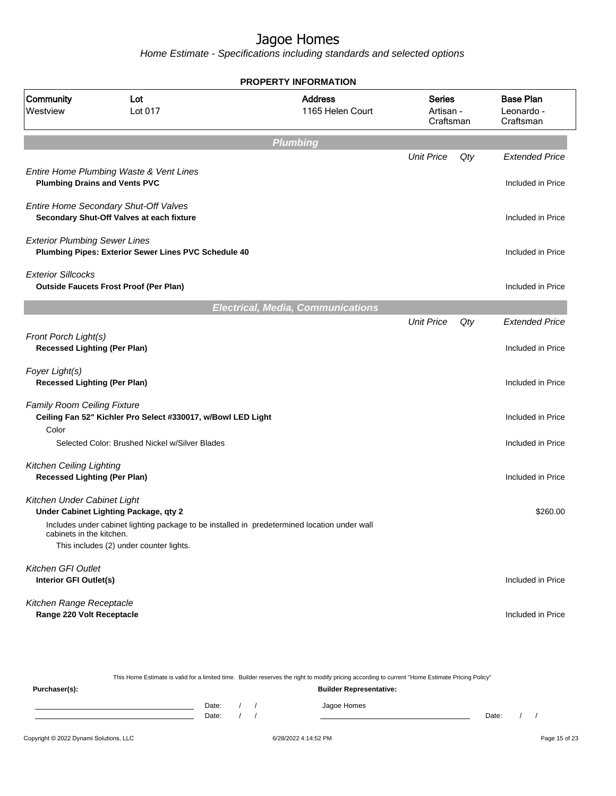|                                                                        |                                                                                    | <b>PROPERTY INFORMATION</b>                                                                  |                                         |     |                                             |
|------------------------------------------------------------------------|------------------------------------------------------------------------------------|----------------------------------------------------------------------------------------------|-----------------------------------------|-----|---------------------------------------------|
| Community<br>Westview                                                  | Lot<br>Lot 017                                                                     | <b>Address</b><br>1165 Helen Court                                                           | <b>Series</b><br>Artisan -<br>Craftsman |     | <b>Base Plan</b><br>Leonardo -<br>Craftsman |
|                                                                        |                                                                                    | <b>Plumbing</b>                                                                              |                                         |     |                                             |
|                                                                        |                                                                                    |                                                                                              | <b>Unit Price</b>                       | Qty | <b>Extended Price</b>                       |
|                                                                        | Entire Home Plumbing Waste & Vent Lines<br><b>Plumbing Drains and Vents PVC</b>    |                                                                                              |                                         |     | Included in Price                           |
|                                                                        | Entire Home Secondary Shut-Off Valves<br>Secondary Shut-Off Valves at each fixture |                                                                                              |                                         |     | Included in Price                           |
| <b>Exterior Plumbing Sewer Lines</b>                                   | Plumbing Pipes: Exterior Sewer Lines PVC Schedule 40                               |                                                                                              |                                         |     | Included in Price                           |
| <b>Exterior Sillcocks</b>                                              | <b>Outside Faucets Frost Proof (Per Plan)</b>                                      |                                                                                              |                                         |     | Included in Price                           |
|                                                                        |                                                                                    | <b>Electrical, Media, Communications</b>                                                     |                                         |     |                                             |
|                                                                        |                                                                                    |                                                                                              | <b>Unit Price</b>                       | Qty | <b>Extended Price</b>                       |
| Front Porch Light(s)<br><b>Recessed Lighting (Per Plan)</b>            |                                                                                    |                                                                                              |                                         |     | Included in Price                           |
| Foyer Light(s)<br><b>Recessed Lighting (Per Plan)</b>                  |                                                                                    |                                                                                              |                                         |     | Included in Price                           |
| <b>Family Room Ceiling Fixture</b>                                     | Ceiling Fan 52" Kichler Pro Select #330017, w/Bowl LED Light                       |                                                                                              |                                         |     | Included in Price                           |
| Color                                                                  | Selected Color: Brushed Nickel w/Silver Blades                                     |                                                                                              |                                         |     | Included in Price                           |
| <b>Kitchen Ceiling Lighting</b><br><b>Recessed Lighting (Per Plan)</b> |                                                                                    |                                                                                              |                                         |     | Included in Price                           |
| Kitchen Under Cabinet Light                                            | Under Cabinet Lighting Package, qty 2                                              |                                                                                              |                                         |     | \$260.00                                    |
| cabinets in the kitchen.                                               | This includes (2) under counter lights.                                            | Includes under cabinet lighting package to be installed in predetermined location under wall |                                         |     |                                             |
| Kitchen GFI Outlet<br>Interior GFI Outlet(s)                           |                                                                                    |                                                                                              |                                         |     | Included in Price                           |
| Kitchen Range Receptacle<br>Range 220 Volt Receptacle                  |                                                                                    |                                                                                              |                                         |     | Included in Price                           |

|               |       | This Home Estimate is valid for a limited time. Builder reserves the right to modify pricing according to current "Home Estimate Pricing Policy" |  |             |       |  |  |  |
|---------------|-------|--------------------------------------------------------------------------------------------------------------------------------------------------|--|-------------|-------|--|--|--|
| Purchaser(s): |       | <b>Builder Representative:</b>                                                                                                                   |  |             |       |  |  |  |
|               | Date: |                                                                                                                                                  |  | Jagoe Homes |       |  |  |  |
|               | Date: |                                                                                                                                                  |  |             | Date: |  |  |  |
|               |       |                                                                                                                                                  |  |             |       |  |  |  |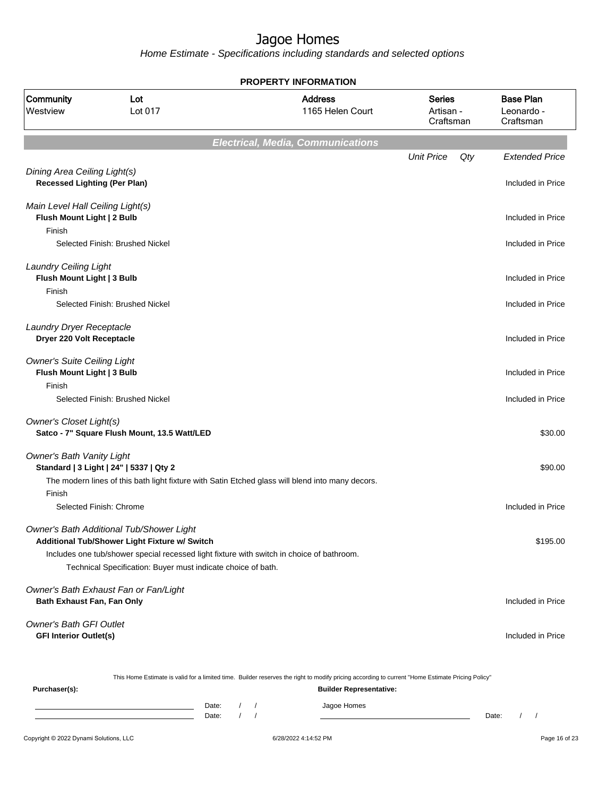Home Estimate - Specifications including standards and selected options

**PROPERTY INFORMATION**

| Community<br>Westview                                                    | Lot<br>Lot 017                                                                                   | <b>Address</b><br>1165 Helen Court                                                                                                               | <b>Series</b><br>Artisan -<br>Craftsman | <b>Base Plan</b><br>Leonardo -<br>Craftsman |
|--------------------------------------------------------------------------|--------------------------------------------------------------------------------------------------|--------------------------------------------------------------------------------------------------------------------------------------------------|-----------------------------------------|---------------------------------------------|
|                                                                          |                                                                                                  | <b>Electrical, Media, Communications</b>                                                                                                         |                                         |                                             |
|                                                                          |                                                                                                  |                                                                                                                                                  | <b>Unit Price</b><br>Qty                | <b>Extended Price</b>                       |
| Dining Area Ceiling Light(s)<br><b>Recessed Lighting (Per Plan)</b>      |                                                                                                  |                                                                                                                                                  |                                         | Included in Price                           |
| Main Level Hall Ceiling Light(s)<br>Flush Mount Light   2 Bulb<br>Finish |                                                                                                  |                                                                                                                                                  |                                         | Included in Price                           |
|                                                                          | Selected Finish: Brushed Nickel                                                                  |                                                                                                                                                  |                                         | Included in Price                           |
| <b>Laundry Ceiling Light</b><br>Flush Mount Light   3 Bulb               |                                                                                                  |                                                                                                                                                  |                                         | Included in Price                           |
| Finish                                                                   | Selected Finish: Brushed Nickel                                                                  |                                                                                                                                                  |                                         | Included in Price                           |
| Laundry Dryer Receptacle<br>Dryer 220 Volt Receptacle                    |                                                                                                  |                                                                                                                                                  |                                         | Included in Price                           |
| <b>Owner's Suite Ceiling Light</b><br>Flush Mount Light   3 Bulb         |                                                                                                  |                                                                                                                                                  |                                         | Included in Price                           |
| Finish                                                                   | Selected Finish: Brushed Nickel                                                                  |                                                                                                                                                  |                                         | Included in Price                           |
| <b>Owner's Closet Light(s)</b>                                           | Satco - 7" Square Flush Mount, 13.5 Watt/LED                                                     |                                                                                                                                                  |                                         | \$30.00                                     |
| <b>Owner's Bath Vanity Light</b>                                         | Standard   3 Light   24"   5337   Qty 2                                                          |                                                                                                                                                  |                                         | \$90.00                                     |
|                                                                          |                                                                                                  | The modern lines of this bath light fixture with Satin Etched glass will blend into many decors.                                                 |                                         |                                             |
| Finish<br>Selected Finish: Chrome                                        |                                                                                                  |                                                                                                                                                  |                                         | Included in Price                           |
|                                                                          | <b>Owner's Bath Additional Tub/Shower Light</b><br>Additional Tub/Shower Light Fixture w/ Switch |                                                                                                                                                  |                                         | \$195.00                                    |
|                                                                          | Technical Specification: Buyer must indicate choice of bath.                                     | Includes one tub/shower special recessed light fixture with switch in choice of bathroom.                                                        |                                         |                                             |
|                                                                          |                                                                                                  |                                                                                                                                                  |                                         |                                             |
| Bath Exhaust Fan, Fan Only                                               | Owner's Bath Exhaust Fan or Fan/Light                                                            |                                                                                                                                                  |                                         | Included in Price                           |
| <b>Owner's Bath GFI Outlet</b><br><b>GFI Interior Outlet(s)</b>          |                                                                                                  |                                                                                                                                                  |                                         | Included in Price                           |
|                                                                          |                                                                                                  | This Home Estimate is valid for a limited time. Builder reserves the right to modify pricing according to current "Home Estimate Pricing Policy" |                                         |                                             |
| Purchaser(s):                                                            | Date:                                                                                            | <b>Builder Representative:</b><br>Jagoe Homes<br>$\frac{1}{2}$                                                                                   |                                         |                                             |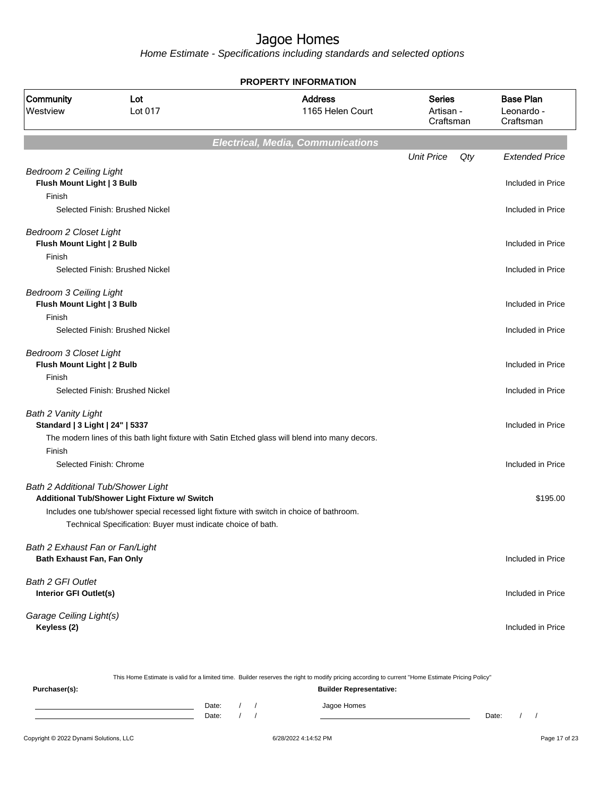Home Estimate - Specifications including standards and selected options

**Electrical, Media, Communications** Unit Price Qty Extended Price Bedroom 2 Ceiling Light **Flush Mount Light | 3 Bulb Included in Price** Finish Selected Finish: Brushed Nickel **Included in Price** Bedroom 2 Closet Light **Flush Mount Light | 2 Bulb Included in Price** Finish Selected Finish: Brushed Nickel Included in Price Bedroom 3 Ceiling Light **Flush Mount Light | 3 Bulb Included in Price** Finish Selected Finish: Brushed Nickel **Included in Price** Bedroom 3 Closet Light **Flush Mount Light | 2 Bulb Included in Price** Finish Selected Finish: Brushed Nickel Included in Price Bath 2 Vanity Light **Standard | 3 Light | 24" | 5337** Included in Price The modern lines of this bath light fixture with Satin Etched glass will blend into many decors. Finish Selected Finish: Chrome **Included in Price** Included in Price Bath 2 Additional Tub/Shower Light **Additional Tub/Shower Light Fixture w/ Switch**  $\blacksquare$  **Additional Tub/Shower Light Fixture w/ Switch**  $\blacksquare$ Includes one tub/shower special recessed light fixture with switch in choice of bathroom. Technical Specification: Buyer must indicate choice of bath. Bath 2 Exhaust Fan or Fan/Light **Bath Exhaust Fan, Fan Only Included in Price** Bath 2 GFI Outlet **Interior GFI Outlet(s)** Included in Price Garage Ceiling Light(s) **Keyless (2)** Included in Price **PROPERTY INFORMATION** Artisan - **Craftsman** Series 1165 Helen Court Address Westview Lot 017 Community Lot Leonardo - Craftsman Base Plan

|                                        |                                |  |  | This Home Estimate is valid for a limited time. Builder reserves the right to modify pricing according to current "Home Estimate Pricing Policy" |       |  |  |               |
|----------------------------------------|--------------------------------|--|--|--------------------------------------------------------------------------------------------------------------------------------------------------|-------|--|--|---------------|
| Purchaser(s):                          | <b>Builder Representative:</b> |  |  |                                                                                                                                                  |       |  |  |               |
|                                        | Date:<br>Date:                 |  |  | Jagoe Homes                                                                                                                                      | Date: |  |  |               |
| Copyright © 2022 Dynami Solutions, LLC |                                |  |  | 6/28/2022 4:14:52 PM                                                                                                                             |       |  |  | Page 17 of 23 |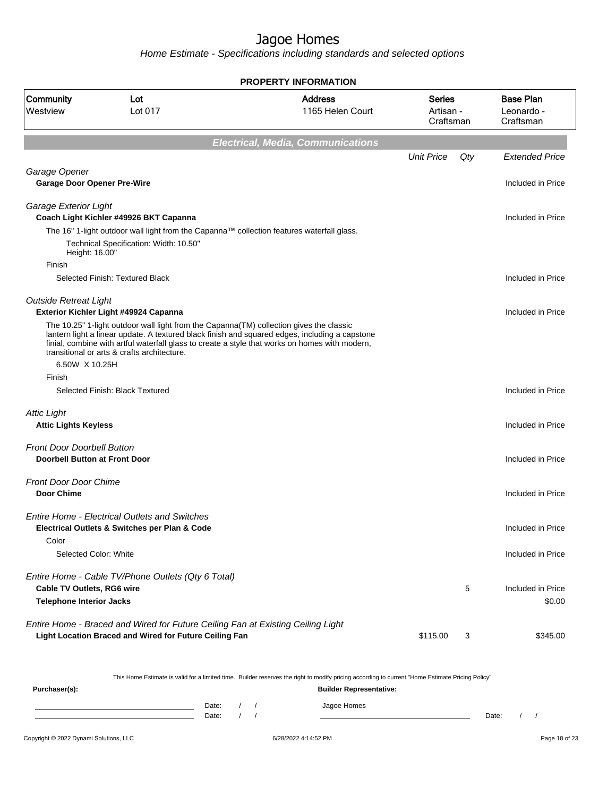Home Estimate - Specifications including standards and selected options

**Electrical, Media, Communications** Unit Price Qty Extended Price Garage Opener **Garage Door Opener Pre-Wire** Included in Price Included in Price Included in Price Garage Exterior Light **Coach Light Kichler #49926 BKT Capanna Included in Price** The 16" 1-light outdoor wall light from the Capanna™ collection features waterfall glass. Technical Specification: Width: 10.50" Height: 16.00" Finish Selected Finish: Textured Black **Included** in Price Outside Retreat Light **Exterior Kichler Light #49924 Capanna** Included in Price The 10.25" 1-light outdoor wall light from the Capanna(TM) collection gives the classic lantern light a linear update. A textured black finish and squared edges, including a capstone finial, combine with artful waterfall glass to create a style that works on homes with modern, transitional or arts & crafts architecture. 6.50W X 10.25H Finish Selected Finish: Black Textured **Included in Price** Attic Light **Attic Lights Keyless** Included in Price Front Door Doorbell Button **Doorbell Button at Front Door Door Doorbell Button at Front Door Included in Price** Front Door Door Chime **Door Chime** Included in Price Entire Home - Electrical Outlets and Switches **Electrical Outlets & Switches per Plan & Code** Included in Price Included in Price Color Selected Color: White Included in Price Included in Price Entire Home - Cable TV/Phone Outlets (Qty 6 Total) **Cable TV Outlets, RG6 wire**  $\overline{5}$  Included in Price **Telephone Interior Jacks** \$0.00 Entire Home - Braced and Wired for Future Ceiling Fan at Existing Ceiling Light **Light Location Braced and Wired for Future Ceiling Fan 120 120 120 120 120 120 120 120 13** \$345.00 **PROPERTY INFORMATION** Artisan - **Craftsman** Series 1165 Helen Court Address Westview Lot 017 Community Lot Leonardo - Craftsman Base Plan

This Home Estimate is valid for a limited time. Builder reserves the right to modify pricing according to current "Home Estimate Pricing Policy"

**Purchaser(s): Builder Representative:** Date: / / / Jagoe Homes Date: / / Date: / /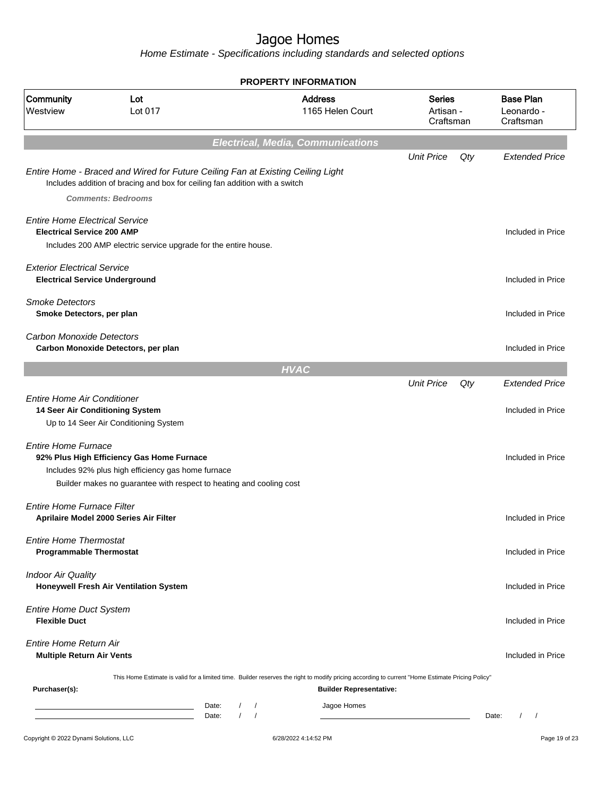|                                                                             |                                                                                                                                                                |                          | <b>PROPERTY INFORMATION</b>              |                                         |     |                                             |
|-----------------------------------------------------------------------------|----------------------------------------------------------------------------------------------------------------------------------------------------------------|--------------------------|------------------------------------------|-----------------------------------------|-----|---------------------------------------------|
| Community<br>Westview                                                       | Lot<br>Lot 017                                                                                                                                                 |                          | <b>Address</b><br>1165 Helen Court       | <b>Series</b><br>Artisan -<br>Craftsman |     | <b>Base Plan</b><br>Leonardo -<br>Craftsman |
|                                                                             |                                                                                                                                                                |                          | <b>Electrical, Media, Communications</b> |                                         |     |                                             |
|                                                                             |                                                                                                                                                                |                          |                                          | <b>Unit Price</b>                       | Qty | <b>Extended Price</b>                       |
|                                                                             | Entire Home - Braced and Wired for Future Ceiling Fan at Existing Ceiling Light<br>Includes addition of bracing and box for ceiling fan addition with a switch |                          |                                          |                                         |     |                                             |
|                                                                             | <b>Comments: Bedrooms</b>                                                                                                                                      |                          |                                          |                                         |     |                                             |
| <b>Entire Home Electrical Service</b><br><b>Electrical Service 200 AMP</b>  |                                                                                                                                                                |                          |                                          |                                         |     | Included in Price                           |
|                                                                             | Includes 200 AMP electric service upgrade for the entire house.                                                                                                |                          |                                          |                                         |     |                                             |
| <b>Exterior Electrical Service</b><br><b>Electrical Service Underground</b> |                                                                                                                                                                |                          |                                          |                                         |     | Included in Price                           |
| <b>Smoke Detectors</b><br>Smoke Detectors, per plan                         |                                                                                                                                                                |                          |                                          |                                         |     | Included in Price                           |
| <b>Carbon Monoxide Detectors</b>                                            | Carbon Monoxide Detectors, per plan                                                                                                                            |                          |                                          |                                         |     | Included in Price                           |
|                                                                             |                                                                                                                                                                |                          |                                          |                                         |     |                                             |
|                                                                             |                                                                                                                                                                |                          | <b>HVAC</b>                              |                                         |     |                                             |
| <b>Entire Home Air Conditioner</b>                                          |                                                                                                                                                                |                          |                                          | <b>Unit Price</b>                       | Qty | <b>Extended Price</b>                       |
| 14 Seer Air Conditioning System                                             | Up to 14 Seer Air Conditioning System                                                                                                                          |                          |                                          |                                         |     | Included in Price                           |
| <b>Entire Home Furnace</b>                                                  | 92% Plus High Efficiency Gas Home Furnace                                                                                                                      |                          |                                          |                                         |     | Included in Price                           |
|                                                                             | Includes 92% plus high efficiency gas home furnace<br>Builder makes no guarantee with respect to heating and cooling cost                                      |                          |                                          |                                         |     |                                             |
| <b>Entire Home Furnace Filter</b>                                           | Aprilaire Model 2000 Series Air Filter                                                                                                                         |                          |                                          |                                         |     | Included in Price                           |
| <b>Entire Home Thermostat</b><br><b>Programmable Thermostat</b>             |                                                                                                                                                                |                          |                                          |                                         |     | Included in Price                           |
| <b>Indoor Air Quality</b>                                                   | Honeywell Fresh Air Ventilation System                                                                                                                         |                          |                                          |                                         |     | Included in Price                           |
| <b>Entire Home Duct System</b><br><b>Flexible Duct</b>                      |                                                                                                                                                                |                          |                                          |                                         |     | Included in Price                           |
| Entire Home Return Air<br><b>Multiple Return Air Vents</b>                  |                                                                                                                                                                |                          |                                          |                                         |     | Included in Price                           |
|                                                                             | This Home Estimate is valid for a limited time. Builder reserves the right to modify pricing according to current "Home Estimate Pricing Policy"               |                          |                                          |                                         |     |                                             |
| Purchaser(s):                                                               |                                                                                                                                                                |                          | <b>Builder Representative:</b>           |                                         |     |                                             |
|                                                                             | Date:                                                                                                                                                          | $\sqrt{2}$<br>$\sqrt{ }$ | Jagoe Homes                              |                                         |     |                                             |
|                                                                             | Date:                                                                                                                                                          | $\sqrt{ }$               |                                          |                                         |     | $\sqrt{2}$<br>Date:<br>$\sqrt{2}$           |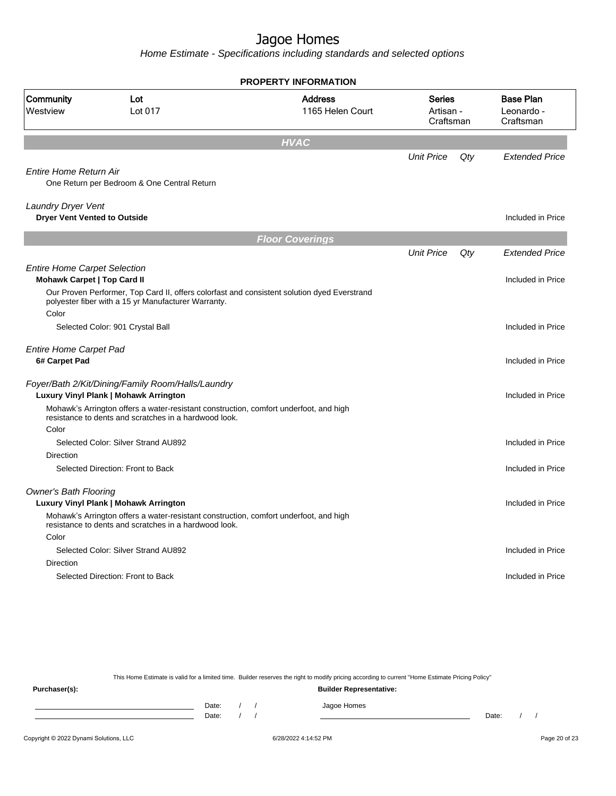Home Estimate - Specifications including standards and selected options

|                                                                           |                                                                                                                                                    | <b>PROPERTY INFORMATION</b>        |                                         |     |                                             |
|---------------------------------------------------------------------------|----------------------------------------------------------------------------------------------------------------------------------------------------|------------------------------------|-----------------------------------------|-----|---------------------------------------------|
| Community<br>Westview                                                     | Lot<br>Lot 017                                                                                                                                     | <b>Address</b><br>1165 Helen Court | <b>Series</b><br>Artisan -<br>Craftsman |     | <b>Base Plan</b><br>Leonardo -<br>Craftsman |
|                                                                           |                                                                                                                                                    | <b>HVAC</b>                        |                                         |     |                                             |
|                                                                           |                                                                                                                                                    |                                    | <b>Unit Price</b>                       | Qty | <b>Extended Price</b>                       |
| Entire Home Return Air                                                    | One Return per Bedroom & One Central Return                                                                                                        |                                    |                                         |     |                                             |
| <b>Laundry Dryer Vent</b><br><b>Dryer Vent Vented to Outside</b>          |                                                                                                                                                    |                                    |                                         |     | Included in Price                           |
|                                                                           |                                                                                                                                                    | <b>Floor Coverings</b>             |                                         |     |                                             |
|                                                                           |                                                                                                                                                    |                                    | <b>Unit Price</b>                       | Qty | <b>Extended Price</b>                       |
| <b>Entire Home Carpet Selection</b><br><b>Mohawk Carpet   Top Card II</b> |                                                                                                                                                    |                                    |                                         |     | Included in Price                           |
| Color                                                                     | Our Proven Performer, Top Card II, offers colorfast and consistent solution dyed Everstrand<br>polyester fiber with a 15 yr Manufacturer Warranty. |                                    |                                         |     |                                             |
|                                                                           | Selected Color: 901 Crystal Ball                                                                                                                   |                                    |                                         |     | Included in Price                           |
| <b>Entire Home Carpet Pad</b><br>6# Carpet Pad                            |                                                                                                                                                    |                                    |                                         |     | Included in Price                           |
|                                                                           | Foyer/Bath 2/Kit/Dining/Family Room/Halls/Laundry<br>Luxury Vinyl Plank   Mohawk Arrington                                                         |                                    |                                         |     | Included in Price                           |
|                                                                           | Mohawk's Arrington offers a water-resistant construction, comfort underfoot, and high<br>resistance to dents and scratches in a hardwood look.     |                                    |                                         |     |                                             |
| Color                                                                     | Selected Color: Silver Strand AU892                                                                                                                |                                    |                                         |     | Included in Price                           |
| Direction                                                                 |                                                                                                                                                    |                                    |                                         |     |                                             |
|                                                                           | Selected Direction: Front to Back                                                                                                                  |                                    |                                         |     | Included in Price                           |
| <b>Owner's Bath Flooring</b>                                              | Luxury Vinyl Plank   Mohawk Arrington                                                                                                              |                                    |                                         |     | Included in Price                           |
|                                                                           | Mohawk's Arrington offers a water-resistant construction, comfort underfoot, and high<br>resistance to dents and scratches in a hardwood look.     |                                    |                                         |     |                                             |
| Color                                                                     |                                                                                                                                                    |                                    |                                         |     |                                             |
| Direction                                                                 | Selected Color: Silver Strand AU892                                                                                                                |                                    |                                         |     | Included in Price                           |
|                                                                           | Selected Direction: Front to Back                                                                                                                  |                                    |                                         |     | Included in Price                           |
|                                                                           |                                                                                                                                                    |                                    |                                         |     |                                             |

This Home Estimate is valid for a limited time. Builder reserves the right to modify pricing according to current "Home Estimate Pricing Policy"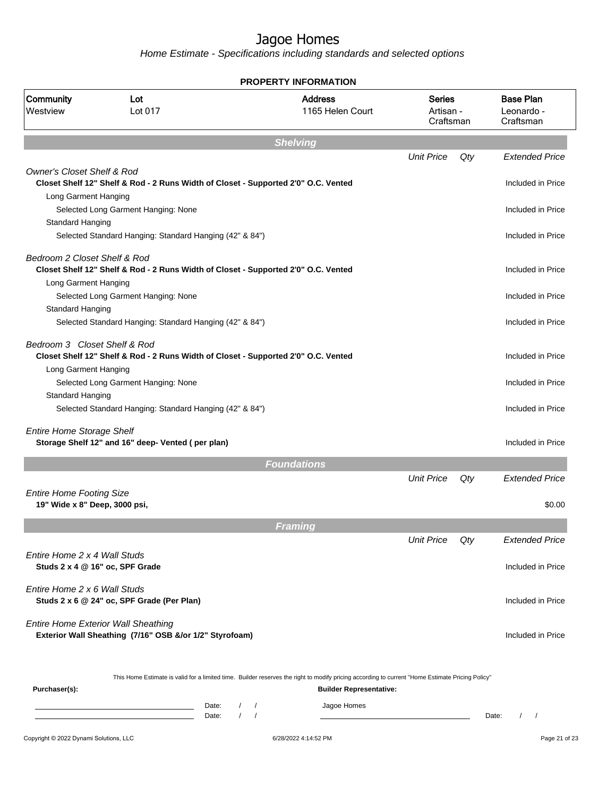|                                                                  |                                                                                                                                                           |                                                  | <b>PROPERTY INFORMATION</b>        |                                         |     |                                             |
|------------------------------------------------------------------|-----------------------------------------------------------------------------------------------------------------------------------------------------------|--------------------------------------------------|------------------------------------|-----------------------------------------|-----|---------------------------------------------|
| Community<br>Westview                                            | Lot<br>Lot 017                                                                                                                                            |                                                  | <b>Address</b><br>1165 Helen Court | <b>Series</b><br>Artisan -<br>Craftsman |     | <b>Base Plan</b><br>Leonardo -<br>Craftsman |
|                                                                  |                                                                                                                                                           |                                                  | <b>Shelving</b>                    |                                         |     |                                             |
|                                                                  |                                                                                                                                                           |                                                  |                                    | <b>Unit Price</b>                       | Qty | <b>Extended Price</b>                       |
| <b>Owner's Closet Shelf &amp; Rod</b><br>Long Garment Hanging    | Closet Shelf 12" Shelf & Rod - 2 Runs Width of Closet - Supported 2'0" O.C. Vented                                                                        |                                                  |                                    |                                         |     | Included in Price                           |
| Standard Hanging                                                 | Selected Long Garment Hanging: None                                                                                                                       |                                                  |                                    |                                         |     | Included in Price                           |
|                                                                  | Selected Standard Hanging: Standard Hanging (42" & 84")                                                                                                   |                                                  |                                    |                                         |     | Included in Price                           |
| Bedroom 2 Closet Shelf & Rod<br>Long Garment Hanging             | Closet Shelf 12" Shelf & Rod - 2 Runs Width of Closet - Supported 2'0" O.C. Vented                                                                        |                                                  |                                    |                                         |     | Included in Price                           |
| Standard Hanging                                                 | Selected Long Garment Hanging: None                                                                                                                       |                                                  |                                    |                                         |     | Included in Price                           |
|                                                                  | Selected Standard Hanging: Standard Hanging (42" & 84")                                                                                                   |                                                  |                                    |                                         |     | Included in Price                           |
| Bedroom 3 Closet Shelf & Rod                                     | Closet Shelf 12" Shelf & Rod - 2 Runs Width of Closet - Supported 2'0" O.C. Vented                                                                        |                                                  |                                    |                                         |     | Included in Price                           |
| Long Garment Hanging                                             | Selected Long Garment Hanging: None                                                                                                                       |                                                  |                                    |                                         |     | Included in Price                           |
| Standard Hanging                                                 | Selected Standard Hanging: Standard Hanging (42" & 84")                                                                                                   |                                                  |                                    |                                         |     | Included in Price                           |
| <b>Entire Home Storage Shelf</b>                                 | Storage Shelf 12" and 16" deep- Vented (per plan)                                                                                                         |                                                  |                                    |                                         |     | Included in Price                           |
|                                                                  |                                                                                                                                                           |                                                  | <b>Foundations</b>                 |                                         |     |                                             |
|                                                                  |                                                                                                                                                           |                                                  |                                    | <b>Unit Price</b>                       | Qty | <b>Extended Price</b>                       |
| <b>Entire Home Footing Size</b><br>19" Wide x 8" Deep, 3000 psi, |                                                                                                                                                           |                                                  |                                    |                                         |     | \$0.00                                      |
|                                                                  |                                                                                                                                                           |                                                  | <b>Framing</b>                     |                                         |     |                                             |
|                                                                  |                                                                                                                                                           |                                                  |                                    | <b>Unit Price</b>                       | Qtv | <b>Extended Price</b>                       |
| Entire Home 2 x 4 Wall Studs                                     | Studs 2 x 4 @ 16" oc, SPF Grade                                                                                                                           |                                                  |                                    |                                         |     | Included in Price                           |
| Entire Home 2 x 6 Wall Studs                                     | Studs 2 x 6 @ 24" oc, SPF Grade (Per Plan)                                                                                                                |                                                  |                                    |                                         |     | Included in Price                           |
|                                                                  | <b>Entire Home Exterior Wall Sheathing</b><br>Exterior Wall Sheathing (7/16" OSB &/or 1/2" Styrofoam)                                                     |                                                  |                                    |                                         |     | Included in Price                           |
| Purchaser(s):                                                    | This Home Estimate is valid for a limited time. Builder reserves the right to modify pricing according to current "Home Estimate Pricing Policy"          |                                                  | <b>Builder Representative:</b>     |                                         |     |                                             |
|                                                                  | Date:<br>the control of the control of the control of the control of the control of<br><u> 1989 - Johann Barn, mars eta bainar eta idazlea (</u><br>Date: | $\sqrt{2}$<br>$\sqrt{ }$<br>$\prime$<br>$\prime$ | Jagoe Homes                        |                                         |     | $\frac{1}{2}$<br>Date:                      |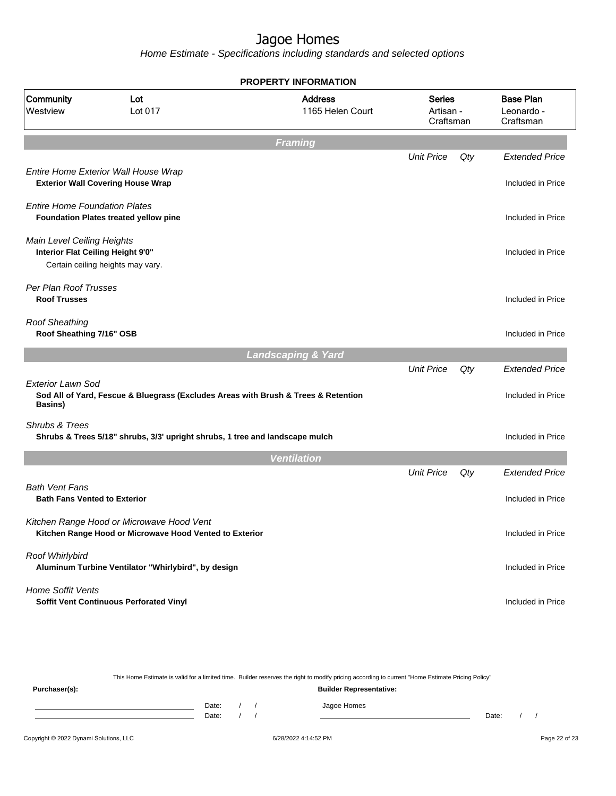Home Estimate - Specifications including standards and selected options

|                                                                 |                                                                                                      | <b>PROPERTY INFORMATION</b>        |                                         |     |                                             |
|-----------------------------------------------------------------|------------------------------------------------------------------------------------------------------|------------------------------------|-----------------------------------------|-----|---------------------------------------------|
| Community<br>Westview                                           | Lot<br>Lot 017                                                                                       | <b>Address</b><br>1165 Helen Court | <b>Series</b><br>Artisan -<br>Craftsman |     | <b>Base Plan</b><br>Leonardo -<br>Craftsman |
|                                                                 |                                                                                                      | <b>Framing</b>                     |                                         |     |                                             |
|                                                                 |                                                                                                      |                                    | <b>Unit Price</b>                       | Qty | <b>Extended Price</b>                       |
|                                                                 | Entire Home Exterior Wall House Wrap<br><b>Exterior Wall Covering House Wrap</b>                     |                                    |                                         |     | Included in Price                           |
| <b>Entire Home Foundation Plates</b>                            | <b>Foundation Plates treated yellow pine</b>                                                         |                                    |                                         |     | Included in Price                           |
| Main Level Ceiling Heights<br>Interior Flat Ceiling Height 9'0" | Certain ceiling heights may vary.                                                                    |                                    |                                         |     | Included in Price                           |
| Per Plan Roof Trusses<br><b>Roof Trusses</b>                    |                                                                                                      |                                    |                                         |     | Included in Price                           |
| <b>Roof Sheathing</b><br>Roof Sheathing 7/16" OSB               |                                                                                                      |                                    |                                         |     | Included in Price                           |
|                                                                 |                                                                                                      | <b>Landscaping &amp; Yard</b>      |                                         |     |                                             |
|                                                                 |                                                                                                      |                                    | <b>Unit Price</b>                       | Qty | <b>Extended Price</b>                       |
| <b>Exterior Lawn Sod</b><br>Basins)                             | Sod All of Yard, Fescue & Bluegrass (Excludes Areas with Brush & Trees & Retention                   |                                    |                                         |     | Included in Price                           |
| Shrubs & Trees                                                  | Shrubs & Trees 5/18" shrubs, 3/3' upright shrubs, 1 tree and landscape mulch                         |                                    |                                         |     | Included in Price                           |
|                                                                 |                                                                                                      | <b>Ventilation</b>                 |                                         |     |                                             |
|                                                                 |                                                                                                      |                                    | <b>Unit Price</b>                       | Qty | <b>Extended Price</b>                       |
| <b>Bath Vent Fans</b><br><b>Bath Fans Vented to Exterior</b>    |                                                                                                      |                                    |                                         |     | Included in Price                           |
|                                                                 | Kitchen Range Hood or Microwave Hood Vent<br>Kitchen Range Hood or Microwave Hood Vented to Exterior |                                    |                                         |     | Included in Price                           |
| Roof Whirlybird                                                 | Aluminum Turbine Ventilator "Whirlybird", by design                                                  |                                    |                                         |     | Included in Price                           |
| Home Soffit Vents                                               | Soffit Vent Continuous Perforated Vinyl                                                              |                                    |                                         |     | Included in Price                           |

This Home Estimate is valid for a limited time. Builder reserves the right to modify pricing according to current "Home Estimate Pricing Policy"